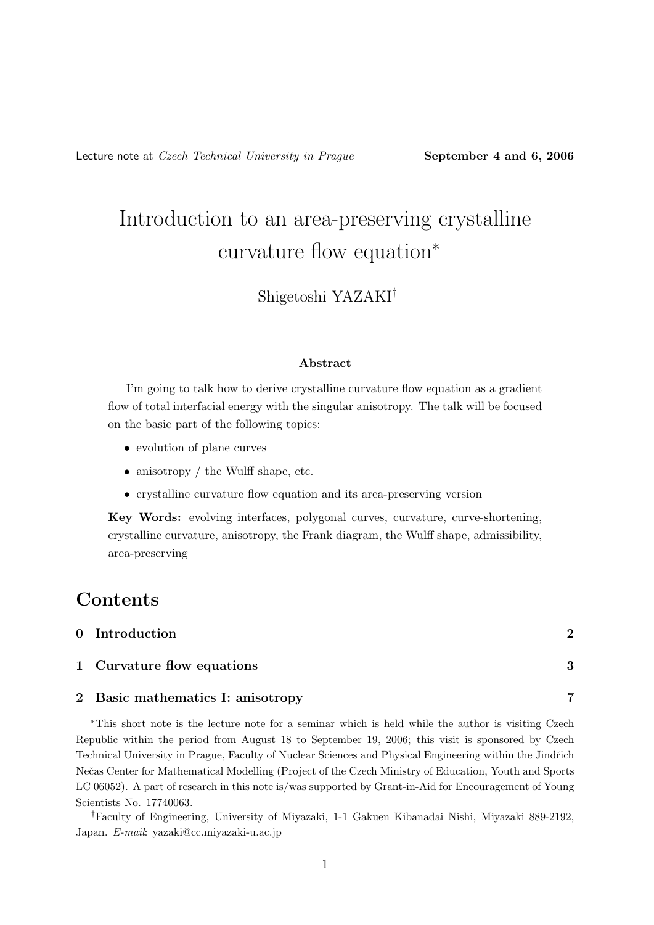# Introduction to an area-preserving crystalline curvature flow equation<sup>∗</sup>

Shigetoshi YAZAKI†

#### Abstract

I'm going to talk how to derive crystalline curvature flow equation as a gradient flow of total interfacial energy with the singular anisotropy. The talk will be focused on the basic part of the following topics:

- evolution of plane curves
- anisotropy / the Wulff shape, etc.
- crystalline curvature flow equation and its area-preserving version

Key Words: evolving interfaces, polygonal curves, curvature, curve-shortening, crystalline curvature, anisotropy, the Frank diagram, the Wulff shape, admissibility, area-preserving

## Contents

| 0 Introduction                    | 2 |
|-----------------------------------|---|
| 1 Curvature flow equations        | ્ |
| 2 Basic mathematics I: anisotropy |   |

<sup>∗</sup>This short note is the lecture note for a seminar which is held while the author is visiting Czech Republic within the period from August 18 to September 19, 2006; this visit is sponsored by Czech Technical University in Prague, Faculty of Nuclear Sciences and Physical Engineering within the Jindřich Neˇcas Center for Mathematical Modelling (Project of the Czech Ministry of Education, Youth and Sports LC 06052). A part of research in this note is/was supported by Grant-in-Aid for Encouragement of Young Scientists No. 17740063.

<sup>†</sup>Faculty of Engineering, University of Miyazaki, 1-1 Gakuen Kibanadai Nishi, Miyazaki 889-2192, Japan. E-mail: yazaki@cc.miyazaki-u.ac.jp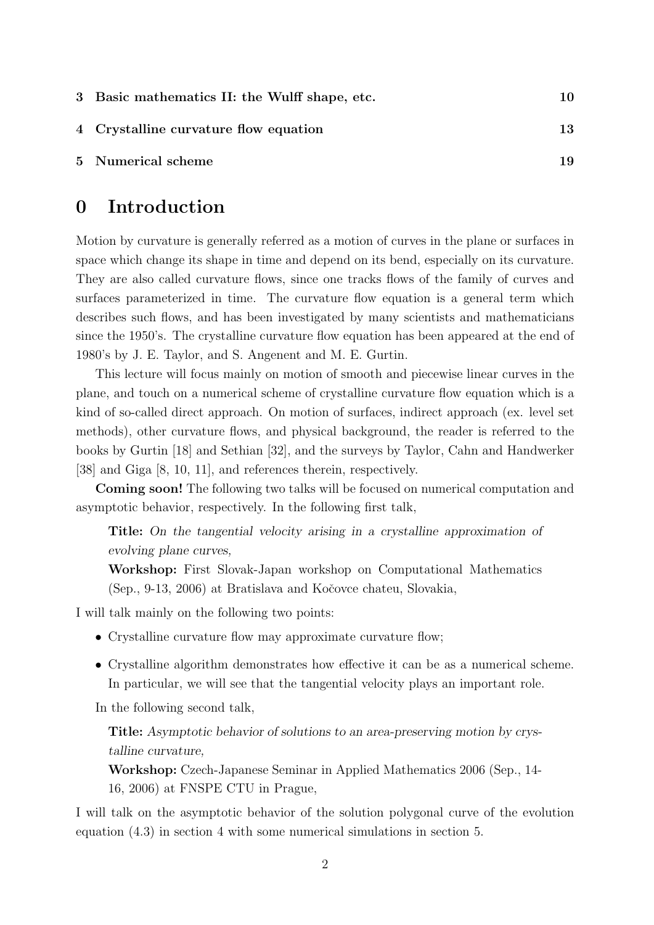| 3 Basic mathematics II: the Wulff shape, etc. |    |
|-----------------------------------------------|----|
| 4 Crystalline curvature flow equation         | 13 |
| 5 Numerical scheme                            | 19 |

# 0 Introduction

Motion by curvature is generally referred as a motion of curves in the plane or surfaces in space which change its shape in time and depend on its bend, especially on its curvature. They are also called curvature flows, since one tracks flows of the family of curves and surfaces parameterized in time. The curvature flow equation is a general term which describes such flows, and has been investigated by many scientists and mathematicians since the 1950's. The crystalline curvature flow equation has been appeared at the end of 1980's by J. E. Taylor, and S. Angenent and M. E. Gurtin.

This lecture will focus mainly on motion of smooth and piecewise linear curves in the plane, and touch on a numerical scheme of crystalline curvature flow equation which is a kind of so-called direct approach. On motion of surfaces, indirect approach (ex. level set methods), other curvature flows, and physical background, the reader is referred to the books by Gurtin [18] and Sethian [32], and the surveys by Taylor, Cahn and Handwerker [38] and Giga [8, 10, 11], and references therein, respectively.

Coming soon! The following two talks will be focused on numerical computation and asymptotic behavior, respectively. In the following first talk,

Title: On the tangential velocity arising in a crystalline approximation of evolving plane curves,

Workshop: First Slovak-Japan workshop on Computational Mathematics (Sep., 9-13, 2006) at Bratislava and Koˇcovce chateu, Slovakia,

I will talk mainly on the following two points:

- Crystalline curvature flow may approximate curvature flow;
- Crystalline algorithm demonstrates how effective it can be as a numerical scheme. In particular, we will see that the tangential velocity plays an important role.

In the following second talk,

Title: Asymptotic behavior of solutions to an area-preserving motion by crystalline curvature,

Workshop: Czech-Japanese Seminar in Applied Mathematics 2006 (Sep., 14- 16, 2006) at FNSPE CTU in Prague,

I will talk on the asymptotic behavior of the solution polygonal curve of the evolution equation (4.3) in section 4 with some numerical simulations in section 5.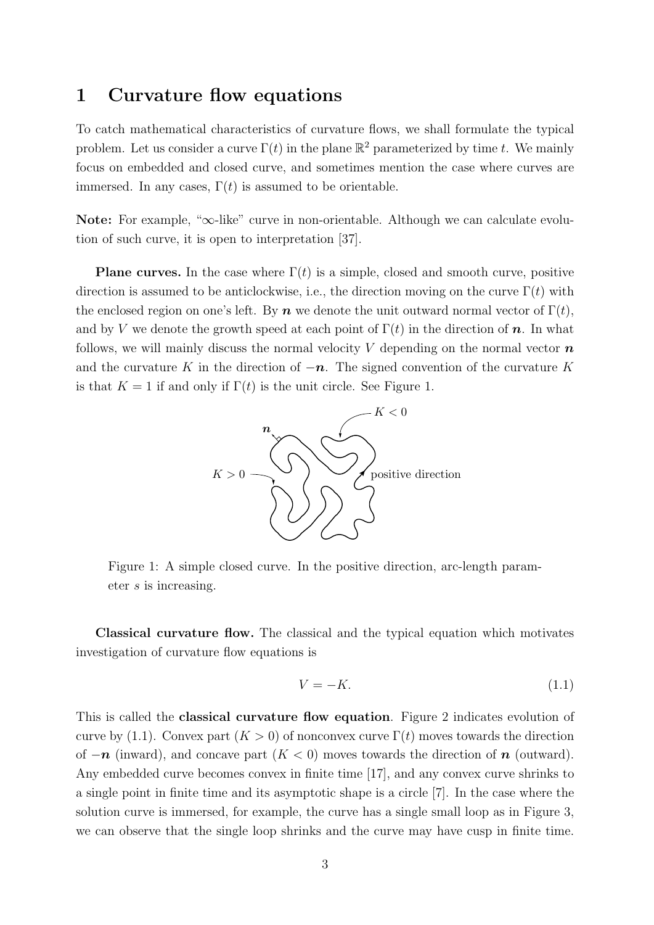#### 1 Curvature flow equations

To catch mathematical characteristics of curvature flows, we shall formulate the typical problem. Let us consider a curve  $\Gamma(t)$  in the plane  $\mathbb{R}^2$  parameterized by time t. We mainly focus on embedded and closed curve, and sometimes mention the case where curves are immersed. In any cases,  $\Gamma(t)$  is assumed to be orientable.

Note: For example, "∞-like" curve in non-orientable. Although we can calculate evolution of such curve, it is open to interpretation [37].

**Plane curves.** In the case where  $\Gamma(t)$  is a simple, closed and smooth curve, positive direction is assumed to be anticlockwise, i.e., the direction moving on the curve  $\Gamma(t)$  with the enclosed region on one's left. By  $n$  we denote the unit outward normal vector of  $\Gamma(t)$ , and by V we denote the growth speed at each point of  $\Gamma(t)$  in the direction of n. In what follows, we will mainly discuss the normal velocity V depending on the normal vector  $\boldsymbol{n}$ and the curvature K in the direction of  $-n$ . The signed convention of the curvature K is that  $K = 1$  if and only if  $\Gamma(t)$  is the unit circle. See Figure 1.



Figure 1: A simple closed curve. In the positive direction, arc-length parameter s is increasing.

Classical curvature flow. The classical and the typical equation which motivates investigation of curvature flow equations is

$$
V = -K.\t\t(1.1)
$$

This is called the classical curvature flow equation. Figure 2 indicates evolution of curve by (1.1). Convex part  $(K > 0)$  of nonconvex curve  $\Gamma(t)$  moves towards the direction of  $-n$  (inward), and concave part  $(K < 0)$  moves towards the direction of n (outward). Any embedded curve becomes convex in finite time [17], and any convex curve shrinks to a single point in finite time and its asymptotic shape is a circle [7]. In the case where the solution curve is immersed, for example, the curve has a single small loop as in Figure 3, we can observe that the single loop shrinks and the curve may have cusp in finite time.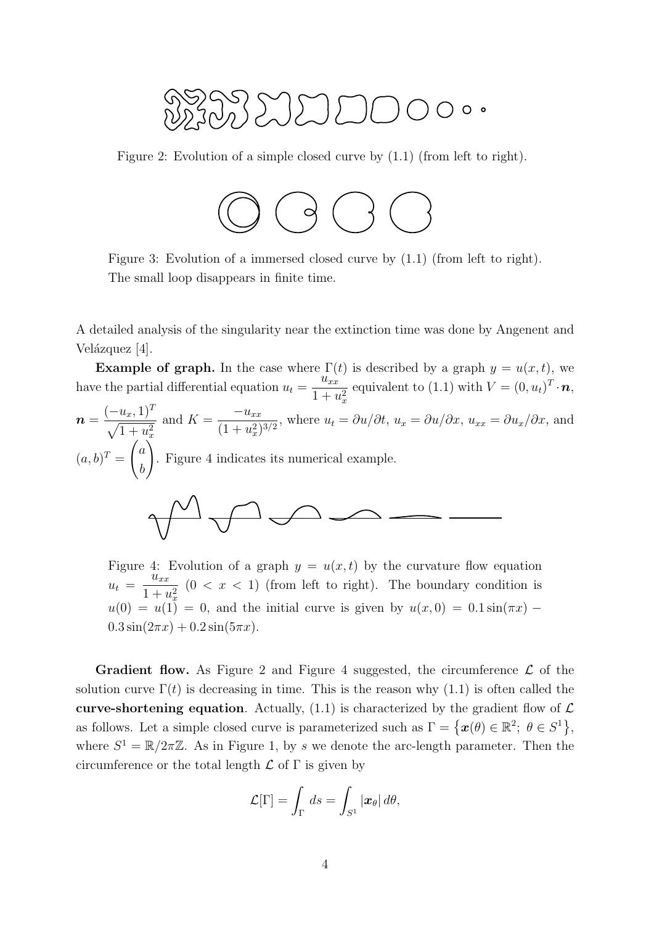$$
W_{1}^{2}W_{2}^{3}W_{3}^{3}W_{4}^{3}W_{5}^{3}W_{6}^{3}W_{7}^{3}W_{8}^{3}W_{9}^{3}W_{9}^{3}W_{9}^{3}W_{9}^{3}W_{9}^{3}W_{9}^{3}W_{9}^{3}W_{9}^{3}W_{9}^{3}W_{9}^{3}W_{9}^{3}W_{9}^{3}W_{9}^{3}W_{9}^{3}W_{9}^{3}W_{9}^{3}W_{9}^{3}W_{9}^{3}W_{9}^{3}W_{9}^{3}W_{9}^{3}W_{9}^{3}W_{9}^{3}W_{9}^{3}W_{9}^{3}W_{9}^{3}W_{9}^{3}W_{9}^{3}W_{9}^{3}W_{9}^{3}W_{9}^{3}W_{9}^{3}W_{9}^{3}W_{9}^{3}W_{9}^{3}W_{9}^{3}W_{9}^{3}W_{9}^{3}W_{9}^{3}W_{9}^{3}W_{9}^{3}W_{9}^{3}W_{9}^{3}W_{9}^{3}W_{9}^{3}W_{9}^{3}W_{9}^{3}W_{9}^{3}W_{9}^{3}W_{9}^{3}W_{9}^{3}W_{9}^{3}W_{9}^{3}W_{9}^{3}W_{9}^{3}W_{9}^{3}W_{9}^{3}W_{9}^{3}W_{9}^{3}W_{9}^{3}W_{9}^{3}W_{9}^{3}W_{9}^{3}W_{9}^{3}W_{9}^{3}W_{9}^{3}W_{9}^{3}W_{9}^{3}W_{9}^{3}W_{9}^{3}W_{9}^{3}W_{9}^{3}W_{9}^{3}W_{9}^{3}W_{9}^{3}W_{9}^{3}W_{9}^{3}W_{9}^{3}W_{9}^{3}W_{9}^{3}W_{9}^{3}W_{9}^{3}W_{9}^{3}W_{9}^{3}W_{9}^{3}W_{9}^{3}W_{9}^{3}W_{9}^{3}W_{9}^{3}W_{9}^{3}W_{9}^{3}W_{9}^{3}W_{9}^{3}W_{9}^{3}W_{9}^{3}W_{9}^{3}W_{9}^{3}W_{9}^{3}W_{9}^{3}W_{9}^{3}W_{9
$$

Figure 2: Evolution of a simple closed curve by (1.1) (from left to right).



Figure 3: Evolution of a immersed closed curve by (1.1) (from left to right). The small loop disappears in finite time.

A detailed analysis of the singularity near the extinction time was done by Angenent and Velázquez [4].

**Example of graph.** In the case where  $\Gamma(t)$  is described by a graph  $y = u(x, t)$ , we have the partial differential equation  $u_t =$  $\overline{u}_{xx}$ equivalent to (1.1) with  $V = (0, u_t)^T \cdot \boldsymbol{n}$ ,

$$
n = \frac{(-u_x, 1)^T}{\sqrt{1 + u_x^2}}
$$
 and  $K = \frac{-u_{xx}}{(1 + u_x^2)^{3/2}}$ , where  $u_t = \partial u/\partial t$ ,  $u_x = \partial u/\partial x$ ,  $u_{xx} = \partial u_x/\partial x$ , and  
\n $(a, b)^T = \begin{pmatrix} a \\ b \end{pmatrix}$ . Figure 4 indicates its numerical example.

Figure 4: Evolution of a graph  $y = u(x, t)$  by the curvature flow equation  $u_t =$  $u_{xx}$  $1 + u_x^2$  $(0 < x < 1)$  (from left to right). The boundary condition is  $u(0) = u(1) = 0$ , and the initial curve is given by  $u(x, 0) = 0.1 \sin(\pi x)$  $0.3\sin(2\pi x) + 0.2\sin(5\pi x).$ 

**Gradient flow.** As Figure 2 and Figure 4 suggested, the circumference  $\mathcal{L}$  of the solution curve  $\Gamma(t)$  is decreasing in time. This is the reason why (1.1) is often called the curve-shortening equation. Actually,  $(1.1)$  is characterized by the gradient flow of  $\mathcal{L}$ as follows. Let a simple closed curve is parameterized such as  $\Gamma = \{x(\theta) \in \mathbb{R}^2; \ \theta \in S^1\}$ , where  $S^1 = \mathbb{R}/2\pi\mathbb{Z}$ . As in Figure 1, by s we denote the arc-length parameter. Then the circumference or the total length  $\mathcal L$  of  $\Gamma$  is given by

$$
\mathcal{L}[\Gamma] = \int_{\Gamma} ds = \int_{S^1} |\boldsymbol{x}_{\theta}| d\theta,
$$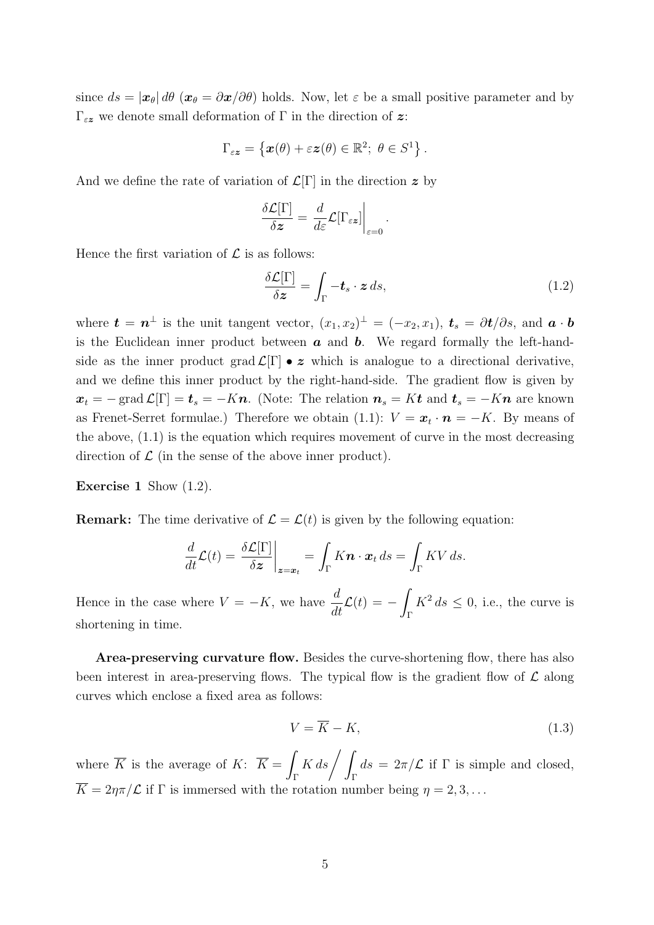since  $ds = |\mathbf{x}_{\theta}| d\theta$  ( $\mathbf{x}_{\theta} = \partial \mathbf{x}/\partial \theta$ ) holds. Now, let  $\varepsilon$  be a small positive parameter and by  $Γ_{εz}$  we denote small deformation of Γ in the direction of z:

$$
\Gamma_{\varepsilon z} = \left\{ \boldsymbol{x}(\theta) + \varepsilon \boldsymbol{z}(\theta) \in \mathbb{R}^2; \ \theta \in S^1 \right\}.
$$

And we define the rate of variation of  $\mathcal{L}[\Gamma]$  in the direction z by

$$
\frac{\delta \mathcal{L}[\Gamma]}{\delta \mathbf{z}} = \left. \frac{d}{d\varepsilon} \mathcal{L}[\Gamma_{\varepsilon \mathbf{z}}] \right|_{\varepsilon=0}.
$$

Hence the first variation of  $\mathcal L$  is as follows:

$$
\frac{\delta \mathcal{L}[\Gamma]}{\delta z} = \int_{\Gamma} -t_s \cdot z \, ds,\tag{1.2}
$$

where  $\mathbf{t} = \mathbf{n}^{\perp}$  is the unit tangent vector,  $(x_1, x_2)^{\perp} = (-x_2, x_1)$ ,  $\mathbf{t}_s = \partial \mathbf{t}/\partial s$ , and  $\mathbf{a} \cdot \mathbf{b}$ is the Euclidean inner product between  $\boldsymbol{a}$  and  $\boldsymbol{b}$ . We regard formally the left-handside as the inner product grad  $\mathcal{L}[\Gamma] \bullet z$  which is analogue to a directional derivative, and we define this inner product by the right-hand-side. The gradient flow is given by  $x_t = -\operatorname{grad} \mathcal{L}[\Gamma] = t_s = -K\mathbf{n}$ . (Note: The relation  $\mathbf{n}_s = K\mathbf{t}$  and  $\mathbf{n}_s = -K\mathbf{n}$  are known as Frenet-Serret formulae.) Therefore we obtain  $(1.1)$ :  $V = x_t \cdot n = -K$ . By means of the above,  $(1.1)$  is the equation which requires movement of curve in the most decreasing direction of  $\mathcal L$  (in the sense of the above inner product).

**Exercise 1** Show  $(1.2)$ .

**Remark:** The time derivative of  $\mathcal{L} = \mathcal{L}(t)$  is given by the following equation:

$$
\frac{d}{dt}\mathcal{L}(t) = \frac{\delta \mathcal{L}[\Gamma]}{\delta \mathbf{z}}\bigg|_{\mathbf{z}=\mathbf{x}_t} = \int_{\Gamma} K \mathbf{n} \cdot \mathbf{x}_t ds = \int_{\Gamma} KV \, ds.
$$

Hence in the case where  $V = -K$ , we have  $\frac{d}{dt}$  $\frac{d}{dt}\mathcal{L}(t) = -$ Γ  $K^2 ds \leq 0$ , i.e., the curve is shortening in time.

Area-preserving curvature flow. Besides the curve-shortening flow, there has also been interest in area-preserving flows. The typical flow is the gradient flow of  $\mathcal L$  along curves which enclose a fixed area as follows:

$$
V = \overline{K} - K,\tag{1.3}
$$

where  $\overline{K}$  is the average of  $K: \overline{K} =$ Γ  $K ds / \frac{1}{2}$ Γ  $ds = 2\pi/\mathcal{L}$  if  $\Gamma$  is simple and closed,  $\overline{K} = 2\eta\pi/\mathcal{L}$  if  $\Gamma$  is immersed with the rotation number being  $\eta = 2, 3, \ldots$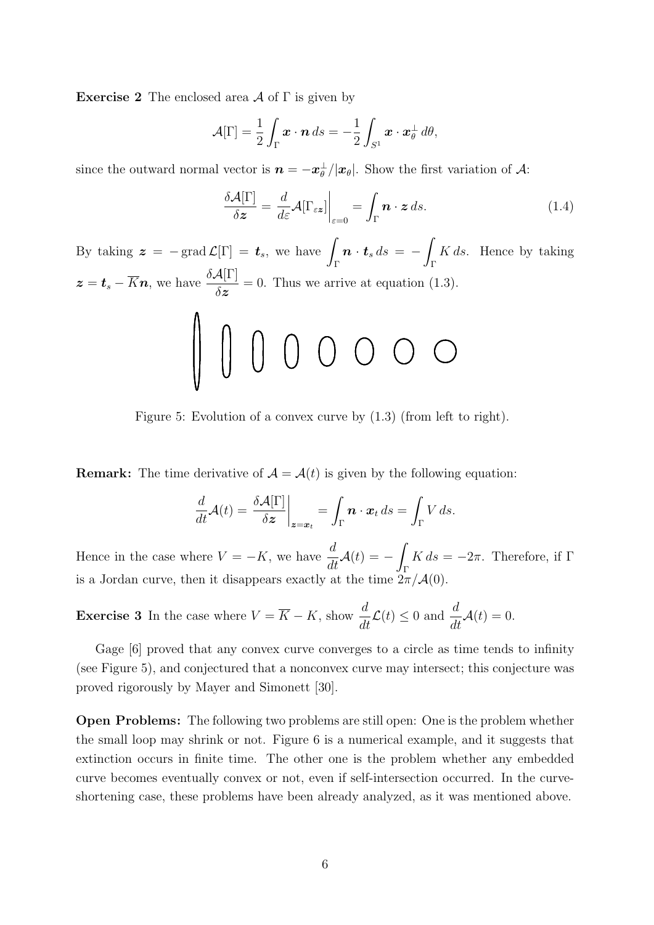**Exercise 2** The enclosed area  $\mathcal A$  of  $\Gamma$  is given by

$$
\mathcal{A}[\Gamma] = \frac{1}{2} \int_{\Gamma} \boldsymbol{x} \cdot \boldsymbol{n} \, ds = -\frac{1}{2} \int_{S^1} \boldsymbol{x} \cdot \boldsymbol{x}^\perp_\theta \, d\theta,
$$

since the outward normal vector is  $\bm{n} = -\bm{x}^{\perp}_{\theta}/|\bm{x}_{\theta}|$ . Show the first variation of  $\mathcal{A}$ :

$$
\frac{\delta \mathcal{A}[\Gamma]}{\delta \mathbf{z}} = \left. \frac{d}{d\varepsilon} \mathcal{A}[\Gamma_{\varepsilon \mathbf{z}}] \right|_{\varepsilon = 0} = \int_{\Gamma} \mathbf{n} \cdot \mathbf{z} \, ds. \tag{1.4}
$$

By taking  $\boldsymbol{z} = -\operatorname{grad} \mathcal{L}[\Gamma] = \boldsymbol{t}_s$ , we have  $\boldsymbol{n} \cdot \boldsymbol{t}_s \, ds \ = \ K ds$ . Hence by taking Γ Γ  $\boldsymbol{z} = \boldsymbol{t}_s - \overline{K} \boldsymbol{n}$ , we have  $\frac{\delta \mathcal{A}[\Gamma]}{\delta \boldsymbol{z}}$  $= 0$ . Thus we arrive at equation  $(1.3)$ .  $\Lambda$ 

$$
\parallel\,\parallel\,\parallel\,\parallel\,\parallel\,\parallel\,\parallel\,\parallel\,\parallel\,\parallel\,\parallel\,\parallel
$$

Figure 5: Evolution of a convex curve by (1.3) (from left to right).

**Remark:** The time derivative of  $\mathcal{A} = \mathcal{A}(t)$  is given by the following equation:

$$
\frac{d}{dt}\mathcal{A}(t) = \frac{\delta \mathcal{A}[\Gamma]}{\delta \mathcal{z}}\bigg|_{\mathcal{z}=\mathcal{x}_t} = \int_{\Gamma} \mathbf{n} \cdot \mathcal{x}_t ds = \int_{\Gamma} V ds.
$$

Hence in the case where  $V = -K$ , we have  $\frac{d}{dt}$  $\frac{d}{dt}\mathcal{A}(t) = -$ Γ  $K ds = -2\pi$ . Therefore, if  $\Gamma$ is a Jordan curve, then it disappears exactly at the time  $2\pi/\mathcal{A}(0)$ .

**Exercise 3** In the case where 
$$
V = \overline{K} - K
$$
, show  $\frac{d}{dt} \mathcal{L}(t) \le 0$  and  $\frac{d}{dt} \mathcal{A}(t) = 0$ .

Gage [6] proved that any convex curve converges to a circle as time tends to infinity (see Figure 5), and conjectured that a nonconvex curve may intersect; this conjecture was proved rigorously by Mayer and Simonett [30].

Open Problems: The following two problems are still open: One is the problem whether the small loop may shrink or not. Figure 6 is a numerical example, and it suggests that extinction occurs in finite time. The other one is the problem whether any embedded curve becomes eventually convex or not, even if self-intersection occurred. In the curveshortening case, these problems have been already analyzed, as it was mentioned above.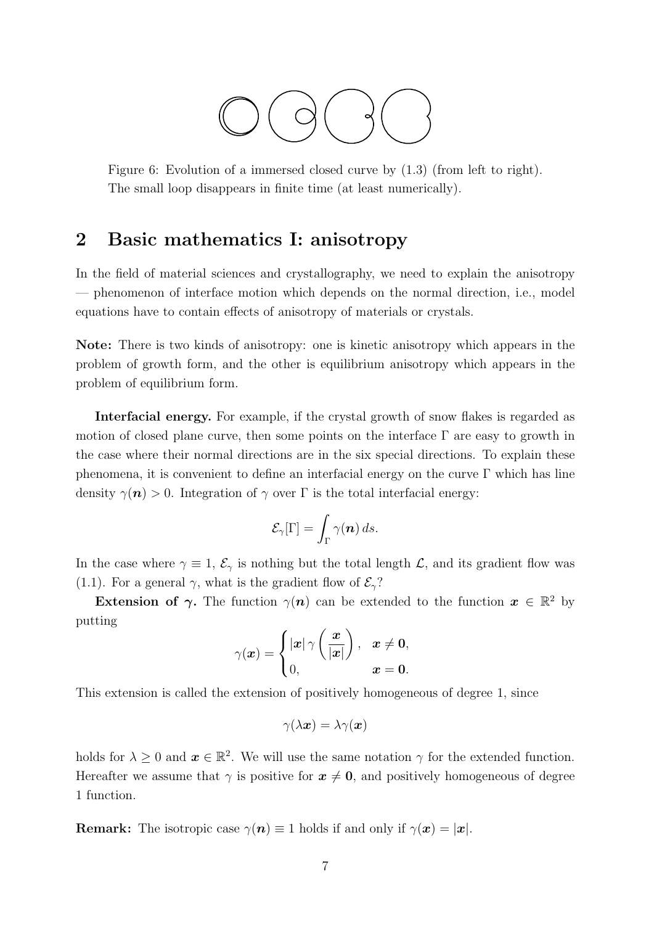

Figure 6: Evolution of a immersed closed curve by (1.3) (from left to right). The small loop disappears in finite time (at least numerically).

### 2 Basic mathematics I: anisotropy

In the field of material sciences and crystallography, we need to explain the anisotropy — phenomenon of interface motion which depends on the normal direction, i.e., model equations have to contain effects of anisotropy of materials or crystals.

Note: There is two kinds of anisotropy: one is kinetic anisotropy which appears in the problem of growth form, and the other is equilibrium anisotropy which appears in the problem of equilibrium form.

Interfacial energy. For example, if the crystal growth of snow flakes is regarded as motion of closed plane curve, then some points on the interface  $\Gamma$  are easy to growth in the case where their normal directions are in the six special directions. To explain these phenomena, it is convenient to define an interfacial energy on the curve  $\Gamma$  which has line density  $\gamma(n) > 0$ . Integration of  $\gamma$  over  $\Gamma$  is the total interfacial energy:

$$
\mathcal{E}_{\gamma}[\Gamma] = \int_{\Gamma} \gamma(\boldsymbol{n}) \, ds.
$$

In the case where  $\gamma \equiv 1$ ,  $\mathcal{E}_{\gamma}$  is nothing but the total length  $\mathcal{L}$ , and its gradient flow was (1.1). For a general  $\gamma$ , what is the gradient flow of  $\mathcal{E}_{\gamma}$ ?

Extension of  $\gamma$ . The function  $\gamma(n)$  can be extended to the function  $x \in \mathbb{R}^2$  by putting  $\overline{a}$  $\overline{a}$  $\mathbf{r}$ 

$$
\gamma(\boldsymbol{x}) = \begin{cases} |\boldsymbol{x}| \,\gamma\left(\frac{\boldsymbol{x}}{|\boldsymbol{x}|}\right), & \boldsymbol{x} \neq \boldsymbol{0}, \\ 0, & \boldsymbol{x} = \boldsymbol{0}. \end{cases}
$$

This extension is called the extension of positively homogeneous of degree 1, since

$$
\gamma(\lambda \bm{x}) = \lambda \gamma(\bm{x})
$$

holds for  $\lambda \geq 0$  and  $\boldsymbol{x} \in \mathbb{R}^2$ . We will use the same notation  $\gamma$  for the extended function. Hereafter we assume that  $\gamma$  is positive for  $x \neq 0$ , and positively homogeneous of degree 1 function.

**Remark:** The isotropic case  $\gamma(n) \equiv 1$  holds if and only if  $\gamma(x) = |x|$ .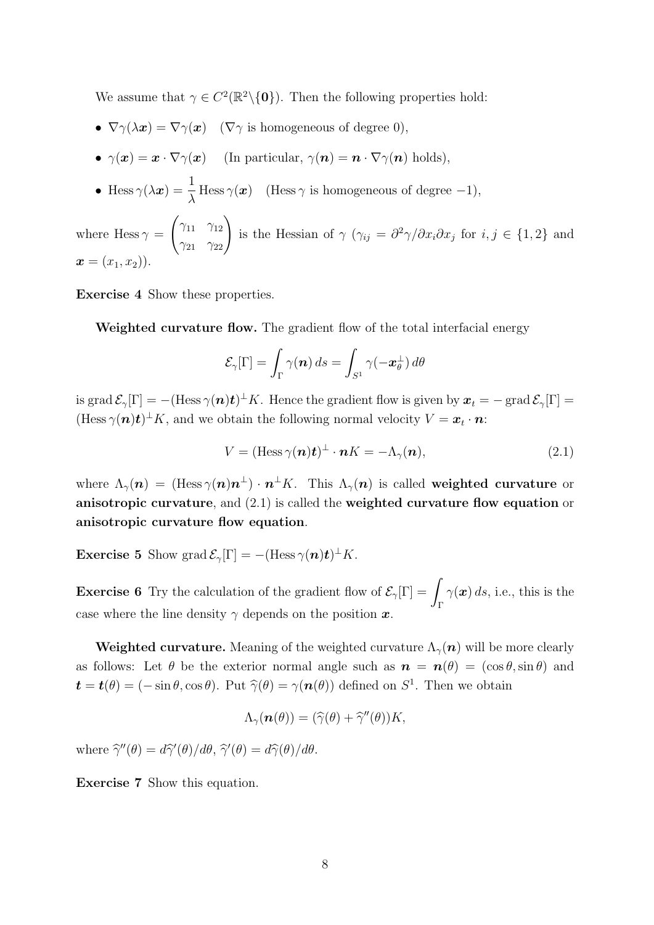We assume that  $\gamma \in C^2(\mathbb{R}^2 \setminus \{0\})$ . Then the following properties hold:

- $\nabla \gamma(\lambda x) = \nabla \gamma(x)$  ( $\nabla \gamma$  is homogeneous of degree 0),
- $\gamma(\boldsymbol{x}) = \boldsymbol{x} \cdot \nabla \gamma(\boldsymbol{x})$  (In particular,  $\gamma(\boldsymbol{n}) = \boldsymbol{n} \cdot \nabla \gamma(\boldsymbol{n})$  holds),
- Hess  $\gamma(\lambda x) = \frac{1}{\lambda}$ λ Hess  $\gamma(x)$  (Hess  $\gamma$  is homogeneous of degree -1),

where Hess  $\gamma =$  $\overline{\phantom{a}}$  $\gamma_{11}$   $\gamma_{12}$  $\begin{pmatrix} \gamma_{11} & \gamma_{12} \\ \gamma_{21} & \gamma_{22} \end{pmatrix}$ is the Hessian of  $\gamma$  ( $\gamma_{ij} = \frac{\partial^2 \gamma}{\partial x_i \partial x_j}$  for  $i, j \in \{1, 2\}$  and  $\bm{x} = (x_1, x_2)$ .

Exercise 4 Show these properties.

Weighted curvature flow. The gradient flow of the total interfacial energy

$$
\mathcal{E}_{\gamma}[\Gamma] = \int_{\Gamma} \gamma(\boldsymbol{n}) \, ds = \int_{S^1} \gamma(-\boldsymbol{x}_{\theta}^{\perp}) \, d\theta
$$

is grad  $\mathcal{E}_{\gamma}[\Gamma] = -(\text{Hess}\,\gamma(\boldsymbol{n})\boldsymbol{t})^{\perp}K$ . Hence the gradient flow is given by  $\boldsymbol{x}_t = -\text{grad}\,\mathcal{E}_{\gamma}[\Gamma] =$  $(Hess \gamma(n)t)^{\perp} K$ , and we obtain the following normal velocity  $V = x_t \cdot n$ :

$$
V = (\text{Hess}\,\gamma(\boldsymbol{n})\boldsymbol{t})^{\perp} \cdot \boldsymbol{n}K = -\Lambda_{\gamma}(\boldsymbol{n}),\tag{2.1}
$$

where  $\Lambda_\gamma(\bm{n}) \,=\, (\textrm{Hess}\,\gamma(\bm{n})\bm{n}^\perp)\cdot\bm{n}^\perp K.$  This  $\Lambda_\gamma(\bm{n})$  is called weighted curvature or anisotropic curvature, and (2.1) is called the weighted curvature flow equation or anisotropic curvature flow equation.

**Exercise 5** Show grad  $\mathcal{E}_{\gamma}[\Gamma] = -(\text{Hess }\gamma(n)\mathbf{t})^{\perp}K$ .

**Exercise 6** Try the calculation of the gradient flow of  $\mathcal{E}_{\gamma}[\Gamma] = \Gamma$ Γ  $\gamma(\boldsymbol{x})$  ds, i.e., this is the case where the line density  $\gamma$  depends on the position  $\boldsymbol{x}$ .

Weighted curvature. Meaning of the weighted curvature  $\Lambda_{\gamma}(n)$  will be more clearly as follows: Let  $\theta$  be the exterior normal angle such as  $\mathbf{n} = \mathbf{n}(\theta) = (\cos \theta, \sin \theta)$  and  $\mathbf{t} = \mathbf{t}(\theta) = (-\sin \theta, \cos \theta)$ . Put  $\hat{\gamma}(\theta) = \gamma(\mathbf{n}(\theta))$  defined on  $S^1$ . Then we obtain

$$
\Lambda_{\gamma}(\boldsymbol{n}(\theta)) = (\widehat{\gamma}(\theta) + \widehat{\gamma}''(\theta))K,
$$

where  $\hat{\gamma}''(\theta) = d\hat{\gamma}'(\theta)/d\theta$ ,  $\hat{\gamma}'(\theta) = d\hat{\gamma}(\theta)/d\theta$ .

Exercise 7 Show this equation.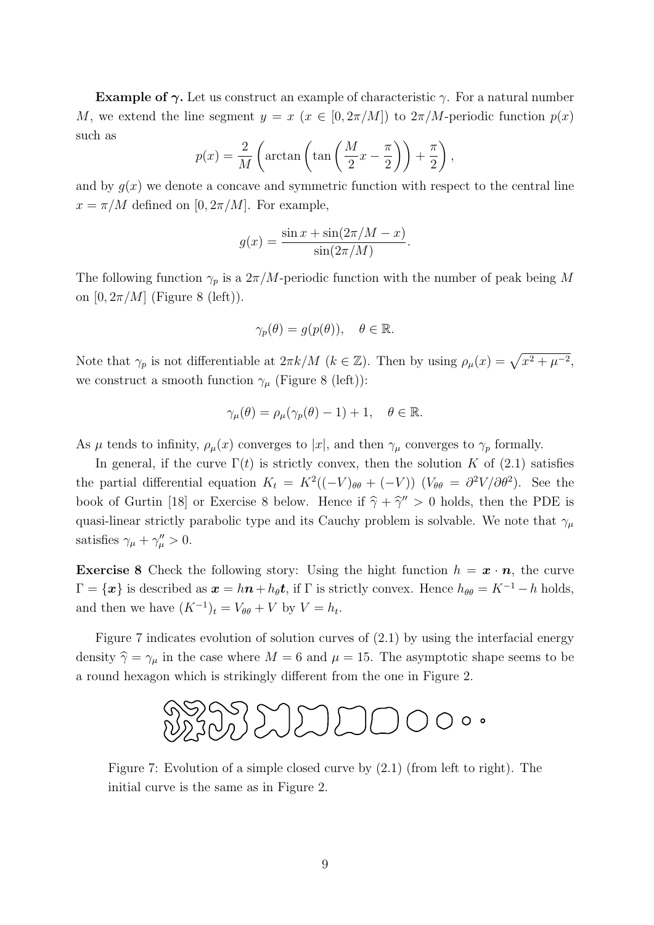**Example of**  $\gamma$ **.** Let us construct an example of characteristic  $\gamma$ . For a natural number M, we extend the line segment  $y = x$   $(x \in [0, 2\pi/M])$  to  $2\pi/M$ -periodic function  $p(x)$ such as  $\overline{a}$  $\sqrt{ }$  $\mathbf{r}$ 

$$
p(x) = \frac{2}{M} \left( \arctan\left(\tan\left(\frac{M}{2}x - \frac{\pi}{2}\right)\right) + \frac{\pi}{2}\right),
$$

and by  $q(x)$  we denote a concave and symmetric function with respect to the central line  $x = \pi/M$  defined on [0,  $2\pi/M$ ]. For example,

$$
g(x) = \frac{\sin x + \sin(2\pi/M - x)}{\sin(2\pi/M)}.
$$

The following function  $\gamma_p$  is a  $2\pi/M$ -periodic function with the number of peak being M on  $[0, 2\pi/M]$  (Figure 8 (left)).

$$
\gamma_p(\theta) = g(p(\theta)), \quad \theta \in \mathbb{R}.
$$

Note that  $\gamma_p$  is not differentiable at  $2\pi k/M$  ( $k \in \mathbb{Z}$ ). Then by using  $\rho_\mu(x) = \sqrt{x^2 + \mu^{-2}}$ , we construct a smooth function  $\gamma_{\mu}$  (Figure 8 (left)):

$$
\gamma_{\mu}(\theta) = \rho_{\mu}(\gamma_p(\theta) - 1) + 1, \quad \theta \in \mathbb{R}.
$$

As  $\mu$  tends to infinity,  $\rho_{\mu}(x)$  converges to  $|x|$ , and then  $\gamma_{\mu}$  converges to  $\gamma_{p}$  formally.

In general, if the curve  $\Gamma(t)$  is strictly convex, then the solution K of (2.1) satisfies the partial differential equation  $K_t = K^2((-V)_{\theta\theta} + (-V))$   $(V_{\theta\theta} = \partial^2 V/\partial \theta^2)$ . See the book of Gurtin [18] or Exercise 8 below. Hence if  $\hat{\gamma} + \hat{\gamma}'' > 0$  holds, then the PDE is quasi-linear strictly parabolic type and its Cauchy problem is solvable. We note that  $\gamma_\mu$ satisfies  $\gamma_{\mu} + \gamma_{\mu}'' > 0$ .

**Exercise 8** Check the following story: Using the hight function  $h = x \cdot n$ , the curve  $\Gamma = {\mathbf{x}}$  is described as  $\mathbf{x} = h\mathbf{n} + h_\theta \mathbf{t}$ , if  $\Gamma$  is strictly convex. Hence  $h_{\theta\theta} = K^{-1} - h$  holds, and then we have  $(K^{-1})_t = V_{\theta\theta} + V$  by  $V = h_t$ .

Figure 7 indicates evolution of solution curves of (2.1) by using the interfacial energy density  $\hat{\gamma} = \gamma_{\mu}$  in the case where  $M = 6$  and  $\mu = 15$ . The asymptotic shape seems to be a round hexagon which is strikingly different from the one in Figure 2.



Figure 7: Evolution of a simple closed curve by (2.1) (from left to right). The initial curve is the same as in Figure 2.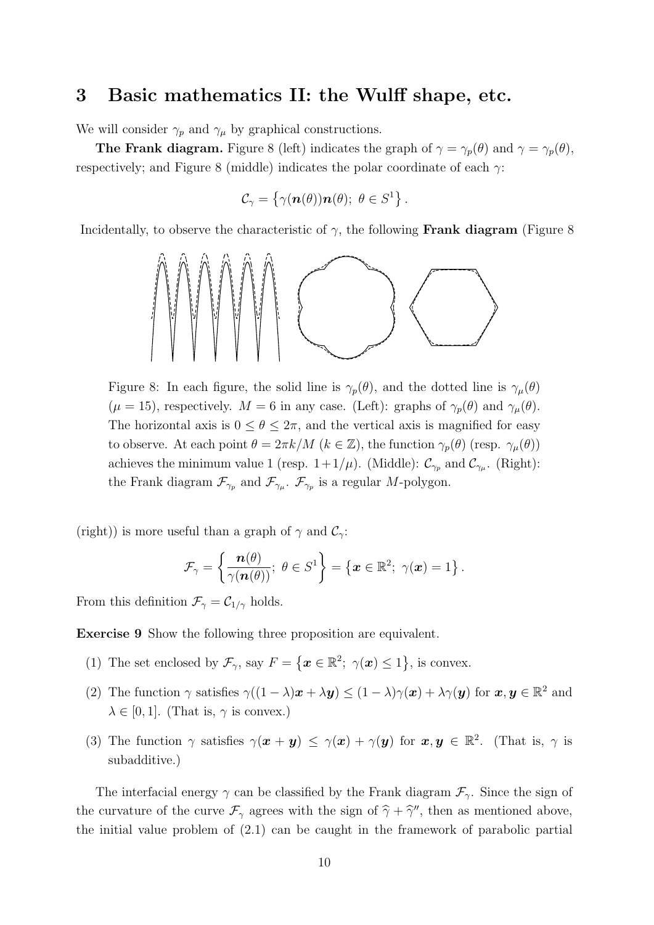#### 3 Basic mathematics II: the Wulff shape, etc.

We will consider  $\gamma_p$  and  $\gamma_\mu$  by graphical constructions.

**The Frank diagram.** Figure 8 (left) indicates the graph of  $\gamma = \gamma_p(\theta)$  and  $\gamma = \gamma_p(\theta)$ , respectively; and Figure 8 (middle) indicates the polar coordinate of each  $\gamma$ :

$$
\mathcal{C}_{\gamma} = \left\{ \gamma(\boldsymbol{n}(\theta))\boldsymbol{n}(\theta); \ \theta \in S^1 \right\}.
$$

Incidentally, to observe the characteristic of  $\gamma$ , the following **Frank diagram** (Figure 8)



Figure 8: In each figure, the solid line is  $\gamma_p(\theta)$ , and the dotted line is  $\gamma_\mu(\theta)$  $(\mu = 15)$ , respectively.  $M = 6$  in any case. (Left): graphs of  $\gamma_p(\theta)$  and  $\gamma_\mu(\theta)$ . The horizontal axis is  $0 \le \theta \le 2\pi$ , and the vertical axis is magnified for easy to observe. At each point  $\theta = 2\pi k/M$  ( $k \in \mathbb{Z}$ ), the function  $\gamma_p(\theta)$  (resp.  $\gamma_\mu(\theta)$ ) achieves the minimum value 1 (resp.  $1+1/\mu$ ). (Middle):  $\mathcal{C}_{\gamma_p}$  and  $\mathcal{C}_{\gamma_\mu}$ . (Right): the Frank diagram  $\mathcal{F}_{\gamma_p}$  and  $\mathcal{F}_{\gamma_\mu}$ .  $\mathcal{F}_{\gamma_p}$  is a regular M-polygon.

(right)) is more useful than a graph of  $\gamma$  and  $\mathcal{C}_{\gamma}$ :

$$
\mathcal{F}_{\gamma} = \left\{ \frac{\boldsymbol{n}(\theta)}{\gamma(\boldsymbol{n}(\theta))}; \ \theta \in S^1 \right\} = \left\{ \boldsymbol{x} \in \mathbb{R}^2; \ \gamma(\boldsymbol{x}) = 1 \right\}.
$$

From this definition  $\mathcal{F}_{\gamma} = \mathcal{C}_{1/\gamma}$  holds.

Exercise 9 Show the following three proposition are equivalent.

- (1) The set enclosed by  $\mathcal{F}_{\gamma}$ , say  $F =$  $\overline{a}$  $\boldsymbol{x} \in \mathbb{R}^2; \; \gamma(\boldsymbol{x}) \leq 1$ ª , is convex.
- (2) The function  $\gamma$  satisfies  $\gamma((1-\lambda)\mathbf{x}+\lambda\mathbf{y}) \leq (1-\lambda)\gamma(\mathbf{x}) + \lambda\gamma(\mathbf{y})$  for  $\mathbf{x}, \mathbf{y} \in \mathbb{R}^2$  and  $\lambda \in [0, 1]$ . (That is,  $\gamma$  is convex.)
- (3) The function  $\gamma$  satisfies  $\gamma(x+y) \leq \gamma(x) + \gamma(y)$  for  $x, y \in \mathbb{R}^2$ . (That is,  $\gamma$  is subadditive.)

The interfacial energy  $\gamma$  can be classified by the Frank diagram  $\mathcal{F}_{\gamma}$ . Since the sign of the curvature of the curve  $\mathcal{F}_{\gamma}$  agrees with the sign of  $\hat{\gamma} + \hat{\gamma}$ , then as mentioned above, the initial value problem of (2.1) can be caught in the framework of parabolic partial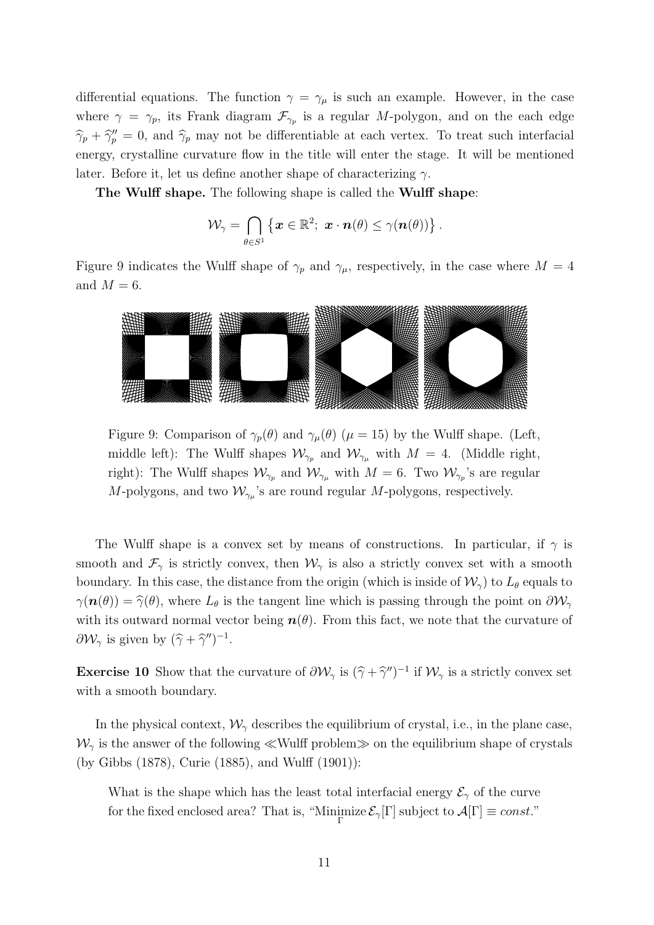differential equations. The function  $\gamma = \gamma_{\mu}$  is such an example. However, in the case where  $\gamma = \gamma_p$ , its Frank diagram  $\mathcal{F}_{\gamma_p}$  is a regular M-polygon, and on the each edge  $\hat{\gamma}_p + \hat{\gamma}_p'' = 0$ , and  $\hat{\gamma}_p$  may not be differentiable at each vertex. To treat such interfacial energy, crystalline curvature flow in the title will enter the stage. It will be mentioned later. Before it, let us define another shape of characterizing  $\gamma$ .

The Wulff shape. The following shape is called the Wulff shape:

$$
\mathcal{W}_{\gamma} = \bigcap_{\theta \in S^1} \left\{ \boldsymbol{x} \in \mathbb{R}^2; \ \boldsymbol{x} \cdot \boldsymbol{n}(\theta) \leq \gamma(\boldsymbol{n}(\theta)) \right\}.
$$

Figure 9 indicates the Wulff shape of  $\gamma_p$  and  $\gamma_\mu$ , respectively, in the case where  $M = 4$ and  $M = 6$ .



Figure 9: Comparison of  $\gamma_p(\theta)$  and  $\gamma_\mu(\theta)$  ( $\mu = 15$ ) by the Wulff shape. (Left, middle left): The Wulff shapes  $\mathcal{W}_{\gamma_p}$  and  $\mathcal{W}_{\gamma_\mu}$  with  $M = 4$ . (Middle right, right): The Wulff shapes  $\mathcal{W}_{\gamma_p}$  and  $\mathcal{W}_{\gamma_\mu}$  with  $M=6$ . Two  $\mathcal{W}_{\gamma_p}$ 's are regular M-polygons, and two  $\mathcal{W}_{\gamma_{\mu}}$ 's are round regular M-polygons, respectively.

The Wulff shape is a convex set by means of constructions. In particular, if  $\gamma$  is smooth and  $\mathcal{F}_{\gamma}$  is strictly convex, then  $\mathcal{W}_{\gamma}$  is also a strictly convex set with a smooth boundary. In this case, the distance from the origin (which is inside of  $\mathcal{W}_{\gamma}$ ) to  $L_{\theta}$  equals to  $\gamma(n(\theta)) = \hat{\gamma}(\theta)$ , where  $L_{\theta}$  is the tangent line which is passing through the point on  $\partial \mathcal{W}_{\gamma}$ with its outward normal vector being  $n(\theta)$ . From this fact, we note that the curvature of  $\partial \mathcal{W}_{\gamma}$  is given by  $(\hat{\gamma} + \hat{\gamma}'')^{-1}$ .

**Exercise 10** Show that the curvature of  $\partial W_{\gamma}$  is  $(\hat{\gamma} + \hat{\gamma}'')^{-1}$  if  $W_{\gamma}$  is a strictly convex set with a smooth boundary.

In the physical context,  $\mathcal{W}_{\gamma}$  describes the equilibrium of crystal, i.e., in the plane case,  $\mathcal{W}_{\gamma}$  is the answer of the following  $\ll$  Wulff problem $\gg$  on the equilibrium shape of crystals (by Gibbs (1878), Curie (1885), and Wulff (1901)):

What is the shape which has the least total interfacial energy  $\mathcal{E}_{\gamma}$  of the curve for the fixed enclosed area? That is, "Minimize  $\mathcal{E}_{\gamma}[\Gamma]$  subject to  $\mathcal{A}[\Gamma] \equiv const.^n$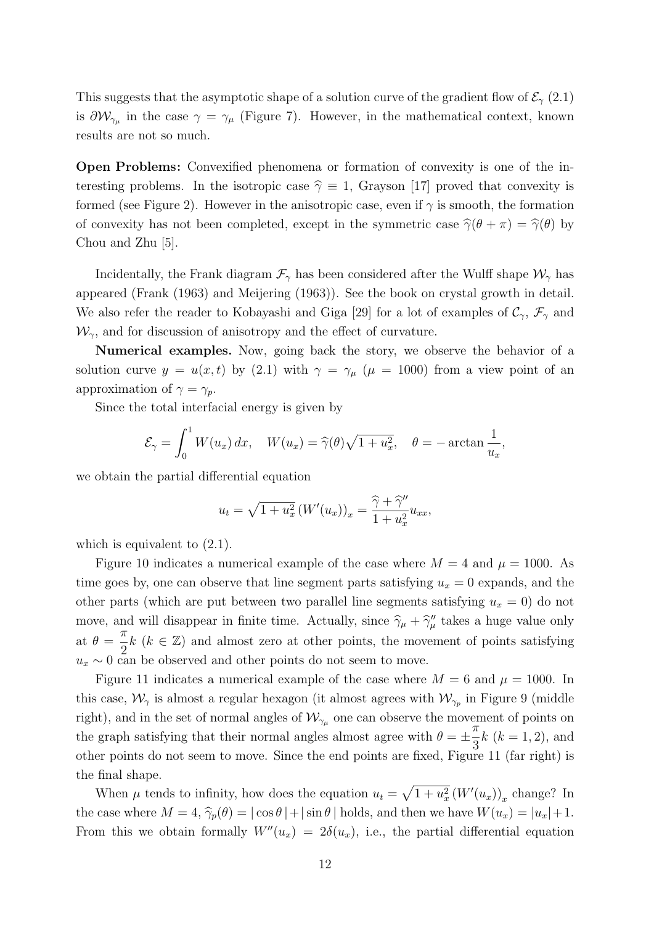This suggests that the asymptotic shape of a solution curve of the gradient flow of  $\mathcal{E}_{\gamma}(2.1)$ is  $\partial \mathcal{W}_{\gamma_{\mu}}$  in the case  $\gamma = \gamma_{\mu}$  (Figure 7). However, in the mathematical context, known results are not so much.

Open Problems: Convexified phenomena or formation of convexity is one of the interesting problems. In the isotropic case  $\hat{\gamma} \equiv 1$ , Grayson [17] proved that convexity is formed (see Figure 2). However in the anisotropic case, even if  $\gamma$  is smooth, the formation of convexity has not been completed, except in the symmetric case  $\hat{\gamma}(\theta + \pi) = \hat{\gamma}(\theta)$  by Chou and Zhu [5].

Incidentally, the Frank diagram  $\mathcal{F}_{\gamma}$  has been considered after the Wulff shape  $\mathcal{W}_{\gamma}$  has appeared (Frank (1963) and Meijering (1963)). See the book on crystal growth in detail. We also refer the reader to Kobayashi and Giga [29] for a lot of examples of  $\mathcal{C}_{\gamma}, \mathcal{F}_{\gamma}$  and  $\mathcal{W}_{\gamma}$ , and for discussion of anisotropy and the effect of curvature.

Numerical examples. Now, going back the story, we observe the behavior of a solution curve  $y = u(x, t)$  by (2.1) with  $\gamma = \gamma_{\mu}$  ( $\mu = 1000$ ) from a view point of an approximation of  $\gamma = \gamma_p$ .

Since the total interfacial energy is given by

$$
\mathcal{E}_{\gamma} = \int_0^1 W(u_x) dx, \quad W(u_x) = \widehat{\gamma}(\theta) \sqrt{1 + u_x^2}, \quad \theta = -\arctan \frac{1}{u_x},
$$

we obtain the partial differential equation

$$
u_t = \sqrt{1 + u_x^2} \left( W'(u_x) \right)_x = \frac{\widehat{\gamma} + \widehat{\gamma}''}{1 + u_x^2} u_{xx},
$$

which is equivalent to  $(2.1)$ .

Figure 10 indicates a numerical example of the case where  $M = 4$  and  $\mu = 1000$ . As time goes by, one can observe that line segment parts satisfying  $u_x = 0$  expands, and the other parts (which are put between two parallel line segments satisfying  $u_x = 0$ ) do not move, and will disappear in finite time. Actually, since  $\hat{\gamma}_{\mu} + \hat{\gamma}_{\mu}''$  takes a huge value only at  $\theta =$  $\pi$ 2  $k$  ( $k \in \mathbb{Z}$ ) and almost zero at other points, the movement of points satisfying  $u_x \sim 0$  can be observed and other points do not seem to move.

Figure 11 indicates a numerical example of the case where  $M = 6$  and  $\mu = 1000$ . In this case,  $\mathcal{W}_{\gamma}$  is almost a regular hexagon (it almost agrees with  $\mathcal{W}_{\gamma_p}$  in Figure 9 (middle right), and in the set of normal angles of  $\mathcal{W}_{\gamma_{\mu}}$  one can observe the movement of points on the graph satisfying that their normal angles almost agree with  $\theta = \pm$  $\frac{1}{\pi}$ 3  $k (k = 1, 2)$ , and other points do not seem to move. Since the end points are fixed, Figure 11 (far right) is the final shape. p

When  $\mu$  tends to infinity, how does the equation  $u_t =$  $\overline{1+u_x^2}(W'(u_x))_x$  change? In the case where  $M = 4$ ,  $\hat{\gamma}_p(\theta) = |\cos \theta| + |\sin \theta|$  holds, and then we have  $W(u_x) = |u_x| + 1$ . From this we obtain formally  $W''(u_x) = 2\delta(u_x)$ , i.e., the partial differential equation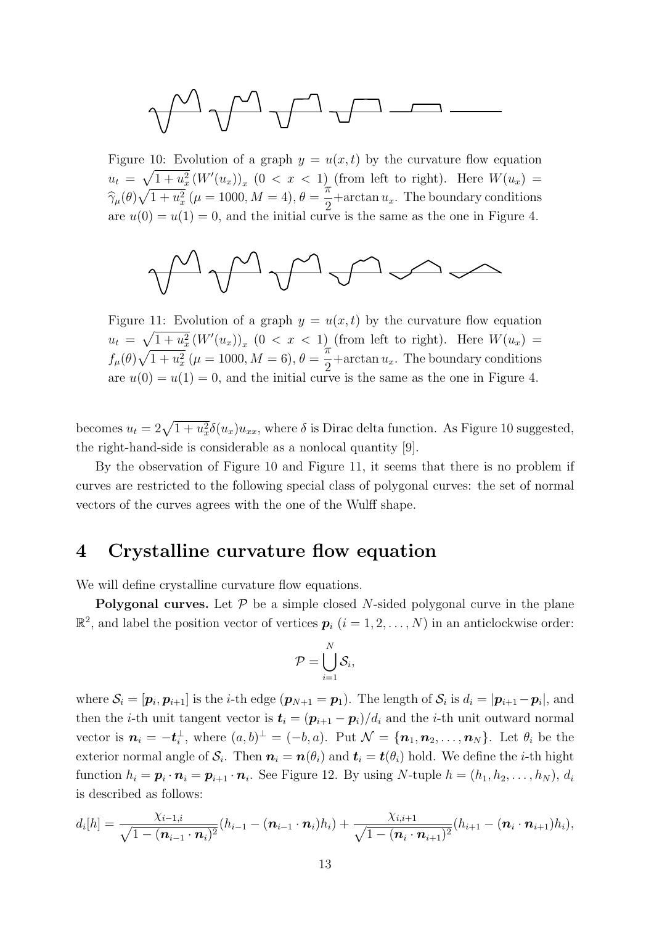$$
\text{rank}\; \mathcal{L} \rightarrow \text{rank} \; \mathcal{L} \rightarrow \text{rank} \; \mathcal{L} \rightarrow \text{rank} \; \mathcal{L} \rightarrow \text{rank} \; \mathcal{L} \rightarrow \text{rank} \; \mathcal{L} \rightarrow \text{rank} \; \mathcal{L} \rightarrow \text{rank} \; \mathcal{L} \rightarrow \text{rank} \; \mathcal{L} \rightarrow \text{rank} \; \mathcal{L} \rightarrow \text{rank} \; \mathcal{L} \rightarrow \text{rank} \; \mathcal{L} \rightarrow \text{rank} \; \mathcal{L} \rightarrow \text{rank} \; \mathcal{L} \rightarrow \text{rank} \; \mathcal{L} \rightarrow \text{rank} \; \mathcal{L} \rightarrow \text{rank} \; \mathcal{L} \rightarrow \text{rank} \; \mathcal{L} \rightarrow \text{rank} \; \mathcal{L} \rightarrow \text{rank} \; \mathcal{L} \rightarrow \text{rank} \; \mathcal{L} \rightarrow \text{rank} \; \mathcal{L} \rightarrow \text{rank} \; \mathcal{L} \rightarrow \text{rank} \; \mathcal{L} \rightarrow \text{rank} \; \mathcal{L} \rightarrow \text{rank} \; \mathcal{L} \rightarrow \text{rank} \; \mathcal{L} \rightarrow \text{rank} \; \mathcal{L} \rightarrow \text{rank} \; \mathcal{L} \rightarrow \text{rank} \; \mathcal{L} \rightarrow \text{rank} \; \mathcal{L} \rightarrow \text{rank} \; \mathcal{L} \rightarrow \text{rank} \; \mathcal{L} \rightarrow \text{rank} \; \mathcal{L} \rightarrow \text{rank} \; \mathcal{L} \rightarrow \text{rank} \; \mathcal{L} \rightarrow \text{rank} \; \mathcal{L} \rightarrow \text{rank} \; \mathcal{L} \rightarrow \text{rank} \; \mathcal{L} \rightarrow \text{rank} \; \mathcal{L} \rightarrow \text{rank} \; \mathcal{L} \rightarrow \text{rank} \; \mathcal{L} \rightarrow \text{rank} \; \mathcal{L} \rightarrow \text{rank} \; \mathcal{L} \rightarrow \text{rank} \; \mathcal{L} \rightarrow \text{rank} \; \mathcal{L} \rightarrow \text{rank} \; \mathcal{L} \rightarrow \text{rank} \; \mathcal{L} \rightarrow \text{rank} \; \mathcal{L} \rightarrow \text{rank} \; \mathcal{L} \rightarrow \text{rank} \; \mathcal{
$$

Figure 10: Evolution of a graph  $y = u(x, t)$  by the curvature flow equation  $u_t =$  $\overline{p}$  1  $\overline{1+u_x^2}(W'(u_x))_x$   $(0 < x < 1)$  (from left to right). Here  $W(u_x) =$  $\widehat{\gamma}_{\mu}(\theta)$  $\alpha$  $1 + u_x^2$  ( $\mu = 1000, M = 4$ ),  $\theta =$ π  $\frac{\pi}{2}$ +arctan  $u_x$ . The boundary conditions are  $u(0) = u(1) = 0$ , and the initial curve is the same as the one in Figure 4.



Figure 11: Evolution of a graph  $y = u(x, t)$  by the curvature flow equation  $u_t = \sqrt{1+u_x^2} \left( W'(u_x) \right)_x$   $(0 < x < 1)$  (from left to right). Here  $W(u_x)$  =  $f_\mu(\theta)$  $\alpha$  $1 + u_x^2$  ( $\mu = 1000, M = 6$ ),  $\theta =$ π  $\frac{\pi}{2}$ +arctan  $u_x$ . The boundary conditions are  $u(0) = u(1) = 0$ , and the initial curve is the same as the one in Figure 4.

becomes  $u_t = 2\sqrt{1 + u_x^2} \delta(u_x) u_{xx}$ , where  $\delta$  is Dirac delta function. As Figure 10 suggested, the right-hand-side is considerable as a nonlocal quantity [9].

By the observation of Figure 10 and Figure 11, it seems that there is no problem if curves are restricted to the following special class of polygonal curves: the set of normal vectors of the curves agrees with the one of the Wulff shape.

#### 4 Crystalline curvature flow equation

We will define crystalline curvature flow equations.

**Polygonal curves.** Let  $P$  be a simple closed N-sided polygonal curve in the plane  $\mathbb{R}^2$ , and label the position vector of vertices  $p_i$   $(i = 1, 2, ..., N)$  in an anticlockwise order:

$$
\mathcal{P} = \bigcup_{i=1}^N \mathcal{S}_i,
$$

where  $\mathcal{S}_i = [\boldsymbol{p}_i, \boldsymbol{p}_{i+1}]$  is the *i*-th edge  $(\boldsymbol{p}_{N+1} = \boldsymbol{p}_1)$ . The length of  $\mathcal{S}_i$  is  $d_i = |\boldsymbol{p}_{i+1} - \boldsymbol{p}_i|$ , and then the *i*-th unit tangent vector is  $t_i = (p_{i+1} - p_i)/d_i$  and the *i*-th unit outward normal vector is  $\mathbf{n}_i = -\mathbf{t}_i^{\perp}$ , where  $(a, b)^{\perp} = (-b, a)$ . Put  $\mathcal{N} = {\mathbf{n}_1, \mathbf{n}_2, \ldots, \mathbf{n}_N}$ . Let  $\theta_i$  be the exterior normal angle of  $\mathcal{S}_i$ . Then  $\bm{n}_i = \bm{n}(\theta_i)$  and  $\bm{t}_i = \bm{t}(\theta_i)$  hold. We define the *i*-th hight function  $h_i = \mathbf{p}_i \cdot \mathbf{n}_i = \mathbf{p}_{i+1} \cdot \mathbf{n}_i$ . See Figure 12. By using N-tuple  $h = (h_1, h_2, \dots, h_N)$ ,  $d_i$ is described as follows:

$$
d_i[h] = \frac{\chi_{i-1,i}}{\sqrt{1-(\boldsymbol{n}_{i-1}\cdot\boldsymbol{n}_i)^2}}(h_{i-1}-(\boldsymbol{n}_{i-1}\cdot\boldsymbol{n}_i)h_i) + \frac{\chi_{i,i+1}}{\sqrt{1-(\boldsymbol{n}_i\cdot\boldsymbol{n}_{i+1})^2}}(h_{i+1}-(\boldsymbol{n}_i\cdot\boldsymbol{n}_{i+1})h_i),
$$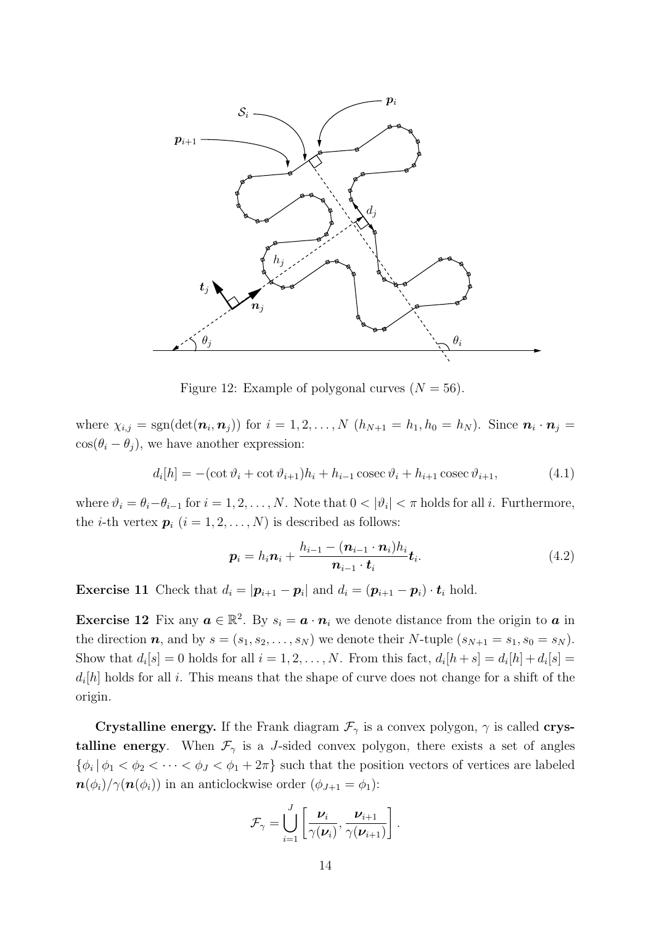

Figure 12: Example of polygonal curves  $(N = 56)$ .

where  $\chi_{i,j} = \text{sgn}(\det(\mathbf{n}_i, \mathbf{n}_j))$  for  $i = 1, 2, ..., N$   $(h_{N+1} = h_1, h_0 = h_N)$ . Since  $\mathbf{n}_i \cdot \mathbf{n}_j =$  $\cos(\theta_i - \theta_j)$ , we have another expression:

$$
d_i[h] = -(\cot \vartheta_i + \cot \vartheta_{i+1})h_i + h_{i-1}\csc \vartheta_i + h_{i+1}\csc \vartheta_{i+1},\tag{4.1}
$$

where  $\vartheta_i = \theta_i - \theta_{i-1}$  for  $i = 1, 2, ..., N$ . Note that  $0 < |\vartheta_i| < \pi$  holds for all i. Furthermore, the *i*-th vertex  $p_i$   $(i = 1, 2, ..., N)$  is described as follows:

$$
\boldsymbol{p}_i = h_i \boldsymbol{n}_i + \frac{h_{i-1} - (\boldsymbol{n}_{i-1} \cdot \boldsymbol{n}_i) h_i}{\boldsymbol{n}_{i-1} \cdot \boldsymbol{t}_i} \boldsymbol{t}_i.
$$
\n(4.2)

**Exercise 11** Check that  $d_i = |\mathbf{p}_{i+1} - \mathbf{p}_i|$  and  $d_i = (\mathbf{p}_{i+1} - \mathbf{p}_i) \cdot \mathbf{t}_i$  hold.

**Exercise 12** Fix any  $a \in \mathbb{R}^2$ . By  $s_i = a \cdot n_i$  we denote distance from the origin to a in the direction  $n$ , and by  $s = (s_1, s_2, \ldots, s_N)$  we denote their N-tuple  $(s_{N+1} = s_1, s_0 = s_N)$ . Show that  $d_i[s] = 0$  holds for all  $i = 1, 2, ..., N$ . From this fact,  $d_i[h+s] = d_i[h] + d_i[s] =$  $d_i[h]$  holds for all i. This means that the shape of curve does not change for a shift of the origin.

**Crystalline energy.** If the Frank diagram  $\mathcal{F}_{\gamma}$  is a convex polygon,  $\gamma$  is called **crys**talline energy. When  $\mathcal{F}_{\gamma}$  is a *J*-sided convex polygon, there exists a set of angles  $\{\phi_i \mid \phi_1 < \phi_2 < \cdots < \phi_J < \phi_1 + 2\pi\}$  such that the position vectors of vertices are labeled  $\mathbf{n}(\phi_i)/\gamma(\mathbf{n}(\phi_i))$  in an anticlockwise order  $(\phi_{J+1} = \phi_1)$ :

$$
\mathcal{F}_{\gamma} = \bigcup_{i=1}^{J} \left[ \frac{\boldsymbol{\nu}_i}{\gamma(\boldsymbol{\nu}_i)}, \frac{\boldsymbol{\nu}_{i+1}}{\gamma(\boldsymbol{\nu}_{i+1})} \right].
$$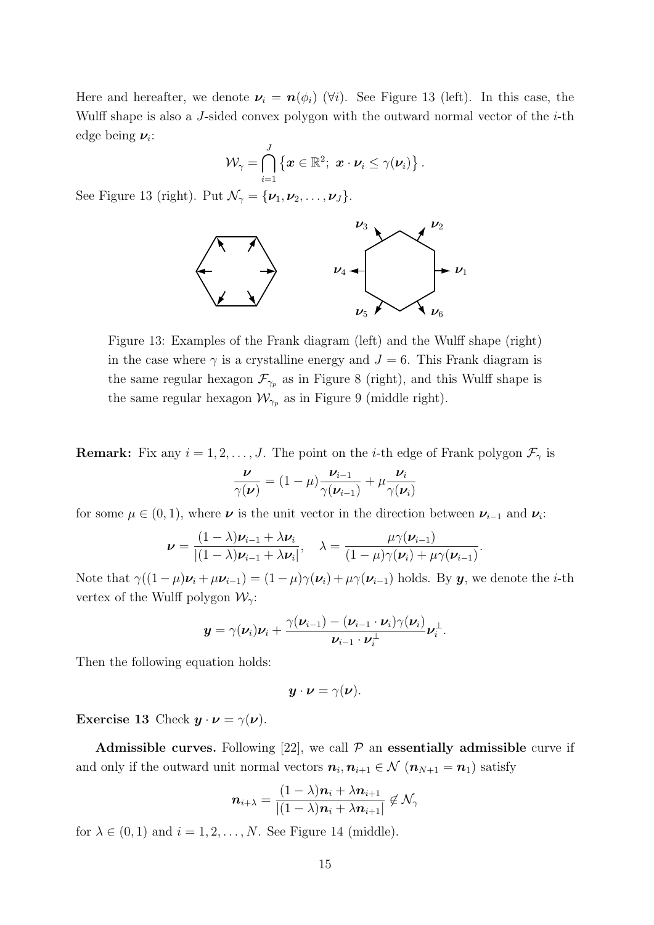Here and hereafter, we denote  $\nu_i = n(\phi_i)$  ( $\forall i$ ). See Figure 13 (left). In this case, the Wulff shape is also a J-sided convex polygon with the outward normal vector of the  $i$ -th edge being  $\nu_i$ :

$$
\mathcal{W}_{\gamma} = \bigcap_{i=1}^J \left\{ \boldsymbol{x} \in \mathbb{R}^2; \ \boldsymbol{x} \cdot \boldsymbol{\nu}_i \leq \gamma(\boldsymbol{\nu}_i) \right\}.
$$

See Figure 13 (right). Put  $\mathcal{N}_{\gamma} = {\nu_1, \nu_2, \ldots, \nu_J}.$ 



Figure 13: Examples of the Frank diagram (left) and the Wulff shape (right) in the case where  $\gamma$  is a crystalline energy and  $J = 6$ . This Frank diagram is the same regular hexagon  $\mathcal{F}_{\gamma_p}$  as in Figure 8 (right), and this Wulff shape is the same regular hexagon  $\mathcal{W}_{\gamma_p}$  as in Figure 9 (middle right).

**Remark:** Fix any  $i = 1, 2, ..., J$ . The point on the *i*-th edge of Frank polygon  $\mathcal{F}_{\gamma}$  is

$$
\frac{\boldsymbol{\nu}}{\gamma(\boldsymbol{\nu})} = (1 - \mu) \frac{\boldsymbol{\nu}_{i-1}}{\gamma(\boldsymbol{\nu}_{i-1})} + \mu \frac{\boldsymbol{\nu}_i}{\gamma(\boldsymbol{\nu}_i)}
$$

for some  $\mu \in (0,1)$ , where  $\nu$  is the unit vector in the direction between  $\nu_{i-1}$  and  $\nu_i$ :

$$
\nu = \frac{(1 - \lambda)\nu_{i-1} + \lambda\nu_i}{|(1 - \lambda)\nu_{i-1} + \lambda\nu_i|}, \quad \lambda = \frac{\mu\gamma(\nu_{i-1})}{(1 - \mu)\gamma(\nu_i) + \mu\gamma(\nu_{i-1})}.
$$

Note that  $\gamma((1-\mu)\nu_i + \mu \nu_{i-1}) = (1-\mu)\gamma(\nu_i) + \mu \gamma(\nu_{i-1})$  holds. By  $y$ , we denote the *i*-th vertex of the Wulff polygon  $\mathcal{W}_{\gamma}$ :

$$
\boldsymbol{y} = \gamma(\boldsymbol{\nu}_i)\boldsymbol{\nu}_i + \frac{\gamma(\boldsymbol{\nu}_{i-1})-(\boldsymbol{\nu}_{i-1}\cdot\boldsymbol{\nu}_i)\gamma(\boldsymbol{\nu}_i)}{\boldsymbol{\nu}_{i-1}\cdot\boldsymbol{\nu}_i^{\perp}}\boldsymbol{\nu}_i^{\perp}.
$$

Then the following equation holds:

$$
\boldsymbol{y}\cdot\boldsymbol{\nu}=\gamma(\boldsymbol{\nu}).
$$

Exercise 13 Check  $y \cdot \nu = \gamma(\nu)$ .

Admissible curves. Following [22], we call  $P$  an essentially admissible curve if and only if the outward unit normal vectors  $n_i, n_{i+1} \in \mathcal{N}$   $(n_{N+1} = n_1)$  satisfy

$$
\boldsymbol{n}_{i+\lambda} = \frac{(1-\lambda)\boldsymbol{n}_i + \lambda \boldsymbol{n}_{i+1}}{|(1-\lambda)\boldsymbol{n}_i + \lambda \boldsymbol{n}_{i+1}|} \notin \mathcal{N}_{\gamma}
$$

for  $\lambda \in (0,1)$  and  $i = 1, 2, ..., N$ . See Figure 14 (middle).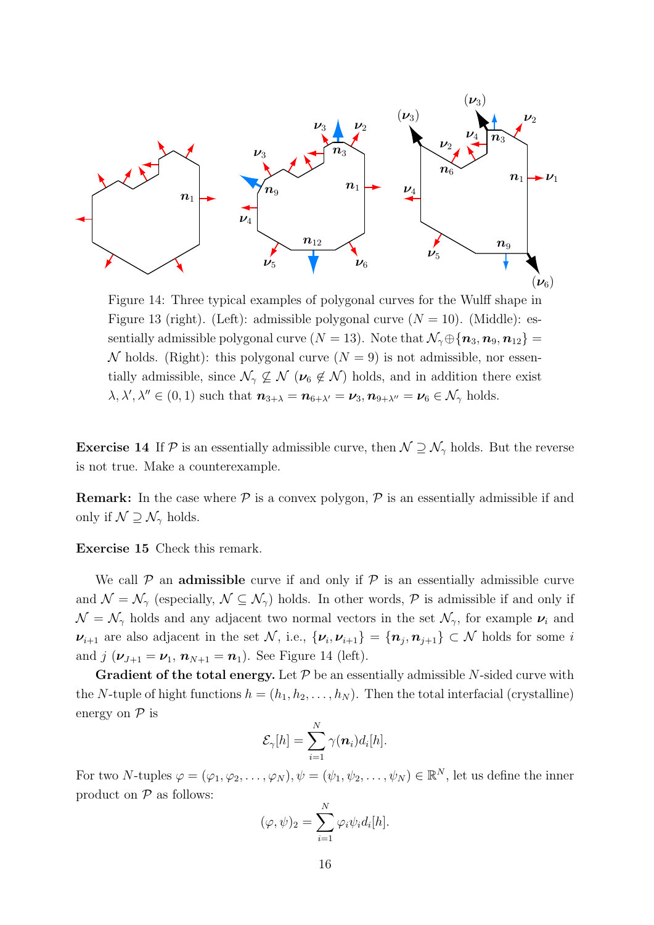

Figure 14: Three typical examples of polygonal curves for the Wulff shape in Figure 13 (right). (Left): admissible polygonal curve  $(N = 10)$ . (Middle): essentially admissible polygonal curve  $(N = 13)$ . Note that  $\mathcal{N}_{\gamma} \oplus {\bf \{n_3, n_9, n_{12}\} =$ N holds. (Right): this polygonal curve  $(N = 9)$  is not admissible, nor essentially admissible, since  $\mathcal{N}_{\gamma} \not\subseteq \mathcal{N}$  ( $\nu_6 \notin \mathcal{N}$ ) holds, and in addition there exist  $\lambda, \lambda', \lambda'' \in (0, 1)$  such that  $n_{3+\lambda} = n_{6+\lambda'} = \nu_3, n_{9+\lambda''} = \nu_6 \in \mathcal{N}_{\gamma}$  holds.

**Exercise 14** If P is an essentially admissible curve, then  $N \supseteq N_{\gamma}$  holds. But the reverse is not true. Make a counterexample.

**Remark:** In the case where  $P$  is a convex polygon,  $P$  is an essentially admissible if and only if  $\mathcal{N} \supseteq \mathcal{N}_{\gamma}$  holds.

Exercise 15 Check this remark.

We call  $P$  an **admissible** curve if and only if  $P$  is an essentially admissible curve and  $\mathcal{N} = \mathcal{N}_{\gamma}$  (especially,  $\mathcal{N} \subseteq \mathcal{N}_{\gamma}$ ) holds. In other words,  $\mathcal{P}$  is admissible if and only if  $\mathcal{N} = \mathcal{N}_{\gamma}$  holds and any adjacent two normal vectors in the set  $\mathcal{N}_{\gamma}$ , for example  $\nu_i$  and  $\nu_{i+1}$  are also adjacent in the set N, i.e.,  $\{\nu_i, \nu_{i+1}\} = \{\boldsymbol{n}_j, \boldsymbol{n}_{j+1}\} \subset \mathcal{N}$  holds for some i and  $j(\nu_{J+1} = \nu_1, n_{N+1} = n_1)$ . See Figure 14 (left).

**Gradient of the total energy.** Let  $P$  be an essentially admissible N-sided curve with the N-tuple of hight functions  $h = (h_1, h_2, \ldots, h_N)$ . Then the total interfacial (crystalline) energy on  $P$  is

$$
\mathcal{E}_{\gamma}[h] = \sum_{i=1}^N \gamma(\boldsymbol{n}_i) d_i[h].
$$

For two N-tuples  $\varphi = (\varphi_1, \varphi_2, \dots, \varphi_N), \psi = (\psi_1, \psi_2, \dots, \psi_N) \in \mathbb{R}^N$ , let us define the inner product on  $P$  as follows:

$$
(\varphi, \psi)_2 = \sum_{i=1}^N \varphi_i \psi_i d_i[h].
$$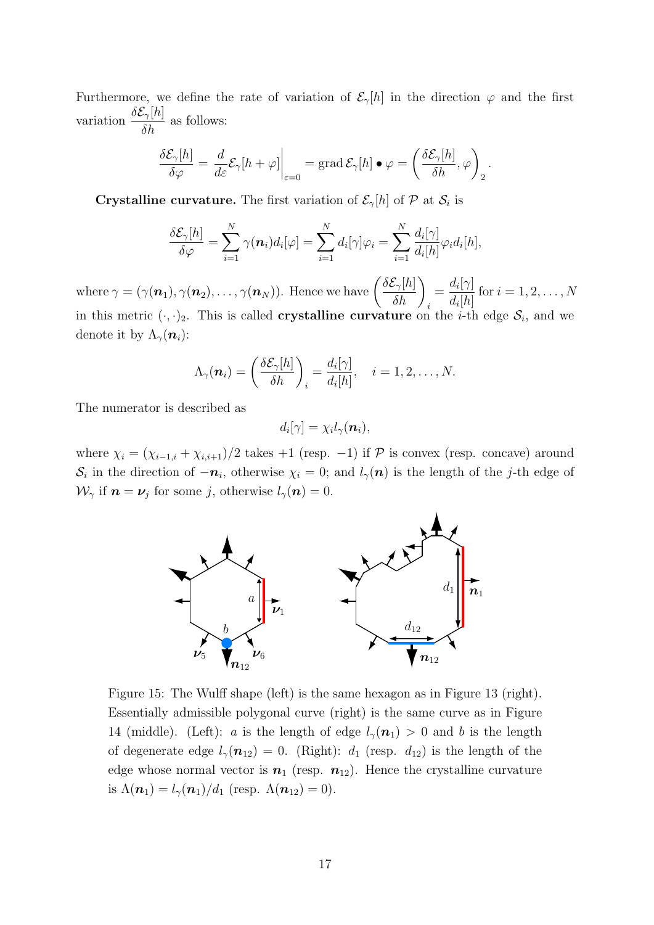Furthermore, we define the rate of variation of  $\mathcal{E}_{\gamma}[h]$  in the direction  $\varphi$  and the first variation  $\frac{\delta \mathcal{E}_{\gamma}[h]}{s}$  $\frac{\partial \gamma_l^{n_l}}{\partial h}$  as follows:

$$
\frac{\delta \mathcal{E}_{\gamma}[h]}{\delta \varphi} = \frac{d}{d\varepsilon} \mathcal{E}_{\gamma}[h + \varphi] \bigg|_{\varepsilon=0} = \text{grad } \mathcal{E}_{\gamma}[h] \bullet \varphi = \left(\frac{\delta \mathcal{E}_{\gamma}[h]}{\delta h}, \varphi\right)_2.
$$

**Crystalline curvature.** The first variation of  $\mathcal{E}_{\gamma}[h]$  of  $\mathcal{P}$  at  $\mathcal{S}_i$  is

$$
\frac{\delta \mathcal{E}_{\gamma}[h]}{\delta \varphi} = \sum_{i=1}^N \gamma(\boldsymbol{n}_i) d_i[\varphi] = \sum_{i=1}^N d_i[\gamma] \varphi_i = \sum_{i=1}^N \frac{d_i[\gamma]}{d_i[h]} \varphi_i d_i[h],
$$

where  $\gamma = (\gamma(\boldsymbol{n}_1), \gamma(\boldsymbol{n}_2), \ldots, \gamma(\boldsymbol{n}_N)).$  Hence we have  $\Big($  $\delta \mathcal{E}_{\gamma}[h]$  $\frac{\mathcal{E}_{\gamma}[h]}{\delta h}\bigg)_{i}$  $=\frac{d_i[\gamma]}{d_i}$  $d_i[h]$ for  $i = 1, 2, ..., N$ in this metric  $(\cdot, \cdot)_2$ . This is called **crystalline curvature** on the *i*-th edge  $S_i$ , and we denote it by  $\Lambda_{\gamma}(n_i)$ :

$$
\Lambda_{\gamma}(\boldsymbol{n}_i) = \left(\frac{\delta \mathcal{E}_{\gamma}[h]}{\delta h}\right)_i = \frac{d_i[\gamma]}{d_i[h]}, \quad i = 1, 2, \ldots, N.
$$

The numerator is described as

$$
d_i[\gamma] = \chi_i l_\gamma(\boldsymbol{n}_i),
$$

where  $\chi_i = (\chi_{i-1,i} + \chi_{i,i+1})/2$  takes +1 (resp. -1) if  $\mathcal P$  is convex (resp. concave) around  $\mathcal{S}_i$  in the direction of  $-n_i$ , otherwise  $\chi_i = 0$ ; and  $l_{\gamma}(n)$  is the length of the j-th edge of  $\mathcal{W}_{\gamma}$  if  $\boldsymbol{n} = \boldsymbol{\nu}_j$  for some j, otherwise  $l_{\gamma}(\boldsymbol{n}) = 0$ .



Figure 15: The Wulff shape (left) is the same hexagon as in Figure 13 (right). Essentially admissible polygonal curve (right) is the same curve as in Figure 14 (middle). (Left): a is the length of edge  $l_{\gamma}(n_1) > 0$  and b is the length of degenerate edge  $l_{\gamma}(n_{12}) = 0$ . (Right):  $d_1$  (resp.  $d_{12}$ ) is the length of the edge whose normal vector is  $n_1$  (resp.  $n_{12}$ ). Hence the crystalline curvature is  $\Lambda(n_1) = l_{\gamma}(n_1)/d_1$  (resp.  $\Lambda(n_{12}) = 0$ ).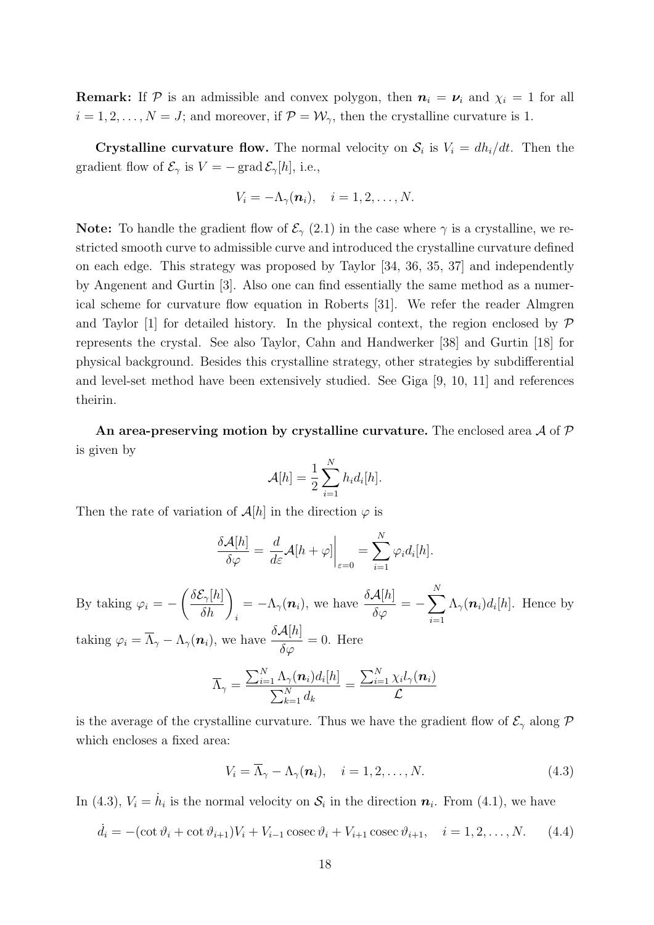**Remark:** If P is an admissible and convex polygon, then  $n_i = \nu_i$  and  $\chi_i = 1$  for all  $i = 1, 2, \ldots, N = J$ ; and moreover, if  $\mathcal{P} = \mathcal{W}_{\gamma}$ , then the crystalline curvature is 1.

**Crystalline curvature flow.** The normal velocity on  $S_i$  is  $V_i = dh_i/dt$ . Then the gradient flow of  $\mathcal{E}_{\gamma}$  is  $V = -$  grad  $\mathcal{E}_{\gamma}[h]$ , i.e.,

$$
V_i = -\Lambda_{\gamma}(\boldsymbol{n}_i), \quad i = 1, 2, \ldots, N.
$$

**Note:** To handle the gradient flow of  $\mathcal{E}_{\gamma}$  (2.1) in the case where  $\gamma$  is a crystalline, we restricted smooth curve to admissible curve and introduced the crystalline curvature defined on each edge. This strategy was proposed by Taylor [34, 36, 35, 37] and independently by Angenent and Gurtin [3]. Also one can find essentially the same method as a numerical scheme for curvature flow equation in Roberts [31]. We refer the reader Almgren and Taylor [1] for detailed history. In the physical context, the region enclosed by  $\mathcal P$ represents the crystal. See also Taylor, Cahn and Handwerker [38] and Gurtin [18] for physical background. Besides this crystalline strategy, other strategies by subdifferential and level-set method have been extensively studied. See Giga [9, 10, 11] and references theirin.

An area-preserving motion by crystalline curvature. The enclosed area  $\mathcal A$  of  $\mathcal P$ is given by

$$
\mathcal{A}[h] = \frac{1}{2} \sum_{i=1}^{N} h_i d_i[h].
$$

Then the rate of variation of  $\mathcal{A}[h]$  in the direction  $\varphi$  is

$$
\frac{\delta \mathcal{A}[h]}{\delta \varphi} = \frac{d}{d\varepsilon} \mathcal{A}[h + \varphi] \bigg|_{\varepsilon=0} = \sum_{i=1}^N \varphi_i d_i[h].
$$

By taking  $\varphi_i = \overline{a}$  $\delta \mathcal{E}_{\gamma}[h]$  $\frac{\mathcal{E}_{\gamma}[h]}{\delta h}\bigg)_{i}$  $= -\Lambda_{\gamma}(\boldsymbol{n}_i),$  we have  $\frac{\delta \mathcal{A}[h]}{\delta \varphi} = \frac{N}{\sqrt{N}}$  $i=1$  $\Lambda_{\gamma}(n_i) d_i[h]$ . Hence by taking  $\varphi_i = \overline{\Lambda}_{\gamma} - \Lambda_{\gamma}(\boldsymbol{n}_i)$ , we have  $\frac{\delta \mathcal{A}[h]}{\delta \varphi} = 0$ . Here

$$
\overline{\Lambda}_{\gamma} = \frac{\sum_{i=1}^{N} \Lambda_{\gamma}(\boldsymbol{n}_i) d_i[h]}{\sum_{k=1}^{N} d_k} = \frac{\sum_{i=1}^{N} \chi_i l_{\gamma}(\boldsymbol{n}_i)}{\mathcal{L}}
$$

is the average of the crystalline curvature. Thus we have the gradient flow of  $\mathcal{E}_{\gamma}$  along  $\mathcal{P}$ which encloses a fixed area:

$$
V_i = \overline{\Lambda}_{\gamma} - \Lambda_{\gamma}(\boldsymbol{n}_i), \quad i = 1, 2, \dots, N. \tag{4.3}
$$

In (4.3),  $V_i = \dot{h}_i$  is the normal velocity on  $S_i$  in the direction  $n_i$ . From (4.1), we have

$$
\dot{d}_i = -(\cot \vartheta_i + \cot \vartheta_{i+1})V_i + V_{i-1} \csc \vartheta_i + V_{i+1} \csc \vartheta_{i+1}, \quad i = 1, 2, ..., N. \tag{4.4}
$$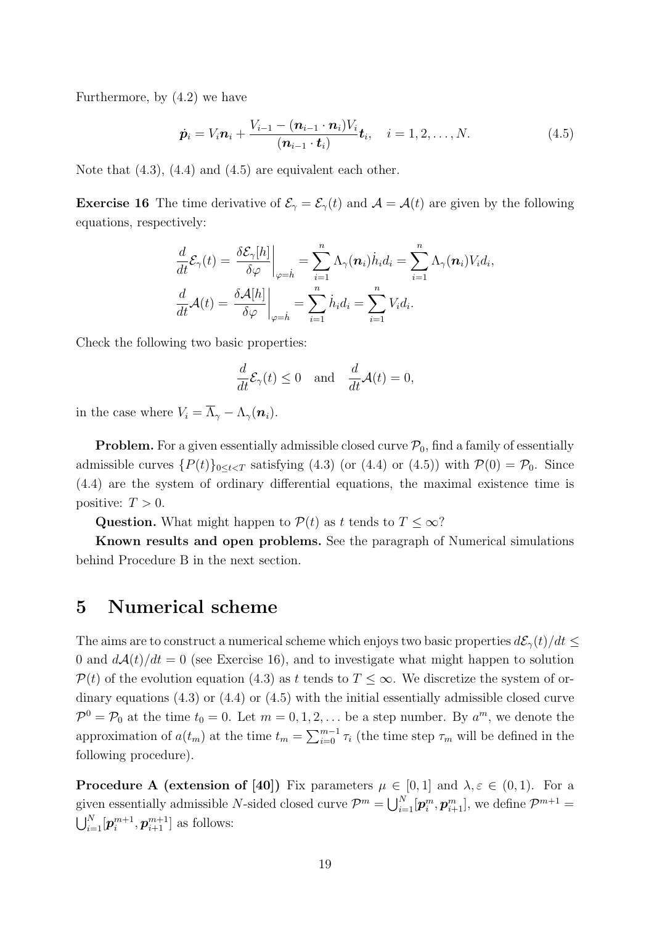Furthermore, by (4.2) we have

$$
\dot{\mathbf{p}}_i = V_i \mathbf{n}_i + \frac{V_{i-1} - (\mathbf{n}_{i-1} \cdot \mathbf{n}_i)V_i}{(\mathbf{n}_{i-1} \cdot \mathbf{t}_i)} \mathbf{t}_i, \quad i = 1, 2, ..., N.
$$
 (4.5)

Note that  $(4.3)$ ,  $(4.4)$  and  $(4.5)$  are equivalent each other.

**Exercise 16** The time derivative of  $\mathcal{E}_{\gamma} = \mathcal{E}_{\gamma}(t)$  and  $\mathcal{A} = \mathcal{A}(t)$  are given by the following equations, respectively:

$$
\frac{d}{dt}\mathcal{E}_{\gamma}(t) = \frac{\delta \mathcal{E}_{\gamma}[h]}{\delta \varphi}\Big|_{\varphi=h} = \sum_{i=1}^{n} \Lambda_{\gamma}(\boldsymbol{n}_{i}) \dot{h}_{i} d_{i} = \sum_{i=1}^{n} \Lambda_{\gamma}(\boldsymbol{n}_{i}) V_{i} d_{i},
$$

$$
\frac{d}{dt}\mathcal{A}(t) = \frac{\delta \mathcal{A}[h]}{\delta \varphi}\Big|_{\varphi=h} = \sum_{i=1}^{n} \dot{h}_{i} d_{i} = \sum_{i=1}^{n} V_{i} d_{i}.
$$

Check the following two basic properties:

$$
\frac{d}{dt}\mathcal{E}_{\gamma}(t) \le 0 \quad \text{and} \quad \frac{d}{dt}\mathcal{A}(t) = 0,
$$

in the case where  $V_i = \overline{\Lambda}_{\gamma} - \Lambda_{\gamma}(\mathbf{n}_i)$ .

**Problem.** For a given essentially admissible closed curve  $\mathcal{P}_0$ , find a family of essentially admissible curves  $\{P(t)\}_{0\leq t < T}$  satisfying (4.3) (or (4.4) or (4.5)) with  $\mathcal{P}(0) = \mathcal{P}_0$ . Since (4.4) are the system of ordinary differential equations, the maximal existence time is positive:  $T > 0$ .

Question. What might happen to  $\mathcal{P}(t)$  as t tends to  $T \leq \infty$ ?

Known results and open problems. See the paragraph of Numerical simulations behind Procedure B in the next section.

#### 5 Numerical scheme

The aims are to construct a numerical scheme which enjoys two basic properties  $d\mathcal{E}_{\gamma}(t)/dt \leq$ 0 and  $d\mathcal{A}(t)/dt = 0$  (see Exercise 16), and to investigate what might happen to solution  $\mathcal{P}(t)$  of the evolution equation (4.3) as t tends to  $T \leq \infty$ . We discretize the system of ordinary equations (4.3) or (4.4) or (4.5) with the initial essentially admissible closed curve  $\mathcal{P}^0 = \mathcal{P}_0$  at the time  $t_0 = 0$ . Let  $m = 0, 1, 2, \ldots$  be a step number. By  $a^m$ , we denote the approximation of  $a(t_m)$  at the time  $t_m = \sum_{i=0}^{m-1}$  $\sum_{i=0}^{m-1} \tau_i$  (the time step  $\tau_m$  will be defined in the following procedure).

**Procedure A (extension of [40])** Fix parameters  $\mu \in [0,1]$  and  $\lambda, \varepsilon \in (0,1)$ . For a given essentially admissible N-sided closed curve  $\mathcal{P}^m = \bigcup_{i=1}^N$  $\sum_{i=1}^N[\boldsymbol{p}_i^m, \boldsymbol{p}_{i+1}^m],$  we define  $\mathcal{P}^{m+1}$  =  $\mathsf{S}^{\mathsf{A},\mathsf{v}}_{\mathsf{B},\mathsf{B}}$  $_{i=1}^N[\bm{p}_i^{m+1}]$  $\left[ n+1 \atop i , \bm{p}_{i+1}^{m+1} \right]$  as follows: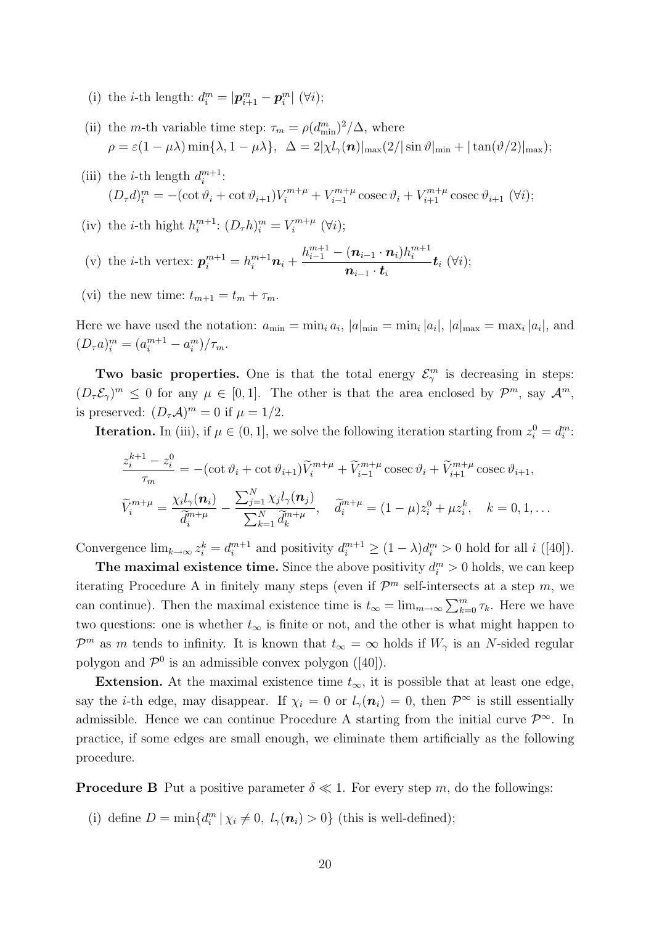- (i) the *i*-th length:  $d_i^m = |\mathbf{p}_{i+1}^m \mathbf{p}_i^m|$  ( $\forall i$ );
- (ii) the *m*-th variable time step:  $\tau_m = \rho (d_{\min}^m)^2/\Delta$ , where  $\rho = \varepsilon (1 - \mu \lambda) \min\{\lambda, 1 - \mu \lambda\}, \ \ \Delta = 2|\chi l_{\gamma}(\boldsymbol{n})|_{\max}(2/|\sin \vartheta|_{\min} + |\tan(\vartheta/2)|_{\max});$
- (iii) the *i*-th length  $d_i^{m+1}$  $\frac{m+1}{i}$ :  $(D_{\tau}d)^m_i = -(\cot \vartheta_i + \cot \vartheta_{i+1})V_i^{m+\mu} + V_{i-1}^{m+\mu}$  $\chi_{i-1}^{m+\mu}$  cosec  $\vartheta_i + V_{i+1}^{m+\mu}$  cosec  $\vartheta_{i+1}$  ( $\forall i$ );
- (iv) the *i*-th hight  $h_i^{m+1}$  $_{i}^{m+1}$ :  $(D_{\tau}h)_{i}^{m} = V_{i}^{m+\mu}$  $\binom{m+\mu}{i}$   $(\forall i)$ ;
- (v) the *i*-th vertex:  $p_i^{m+1} = h_i^{m+1} \mathbf{n}_i + \cdots$  $h_{i-1}^{m+1}-(\boldsymbol{n}_{i-1}\cdot\boldsymbol{n}_{i})h_{i}^{m+1}$ i  $\boldsymbol{n}_{i-1} \cdot \boldsymbol{t}_i$  $\boldsymbol{t}_i\;(\forall i);$
- (vi) the new time:  $t_{m+1} = t_m + \tau_m$ .

Here we have used the notation:  $a_{\min} = \min_i a_i$ ,  $|a|_{\min} = \min_i |a_i|$ ,  $|a|_{\max} = \max_i |a_i|$ , and  $(D_{\tau}a)_i^m = (a_i^{m+1} - a_i^m)/\tau_m.$ 

Two basic properties. One is that the total energy  $\mathcal{E}_{\gamma}^{m}$  is decreasing in steps:  $(D_{\tau} \mathcal{E}_{\gamma})^m \leq 0$  for any  $\mu \in [0,1]$ . The other is that the area enclosed by  $\mathcal{P}^m$ , say  $\mathcal{A}^m$ , is preserved:  $(D_{\tau}A)^m = 0$  if  $\mu = 1/2$ .

**Iteration.** In (iii), if  $\mu \in (0, 1]$ , we solve the following iteration starting from  $z_i^0 = d_i^m$ :

$$
\frac{z_i^{k+1} - z_i^0}{\tau_m} = -(\cot \vartheta_i + \cot \vartheta_{i+1}) \widetilde{V}_i^{m+\mu} + \widetilde{V}_{i-1}^{m+\mu} \csc \vartheta_i + \widetilde{V}_{i+1}^{m+\mu} \csc \vartheta_{i+1},
$$
  

$$
\widetilde{V}_i^{m+\mu} = \frac{\chi_i l_\gamma(\boldsymbol{n}_i)}{\widetilde{d}_i^{m+\mu}} - \frac{\sum_{j=1}^N \chi_j l_\gamma(\boldsymbol{n}_j)}{\sum_{k=1}^N \widetilde{d}_k^{m+\mu}}, \quad \widetilde{d}_i^{m+\mu} = (1-\mu) z_i^0 + \mu z_i^k, \quad k = 0, 1, \dots
$$

Convergence  $\lim_{k\to\infty} z_i^k = d_i^{m+1}$  $i^{m+1}$  and positivity  $d_i^{m+1} \ge (1 - \lambda) d_i^m > 0$  hold for all  $i$  ([40]).

The maximal existence time. Since the above positivity  $d_i^m > 0$  holds, we can keep iterating Procedure A in finitely many steps (even if  $\mathcal{P}^m$  self-intersects at a step m, we can continue). Then the maximal existence time is  $t_{\infty} = \lim_{m \to \infty} \sum_{k=0}^{m} \tau_k$ . Here we have two questions: one is whether  $t_{\infty}$  is finite or not, and the other is what might happen to  $\mathcal{P}^m$  as m tends to infinity. It is known that  $t_{\infty} = \infty$  holds if  $W_{\gamma}$  is an N-sided regular polygon and  $\mathcal{P}^0$  is an admissible convex polygon ([40]).

Extension. At the maximal existence time  $t_{\infty}$ , it is possible that at least one edge, say the *i*-th edge, may disappear. If  $\chi_i = 0$  or  $l_\gamma(\mathbf{n}_i) = 0$ , then  $\mathcal{P}^{\infty}$  is still essentially admissible. Hence we can continue Procedure A starting from the initial curve  $\mathcal{P}^{\infty}$ . In practice, if some edges are small enough, we eliminate them artificially as the following procedure.

**Procedure B** Put a positive parameter  $\delta \ll 1$ . For every step m, do the followings:

(i) define  $D = \min\{d_i^m | \chi_i \neq 0, l_\gamma(n_i) > 0\}$  (this is well-defined);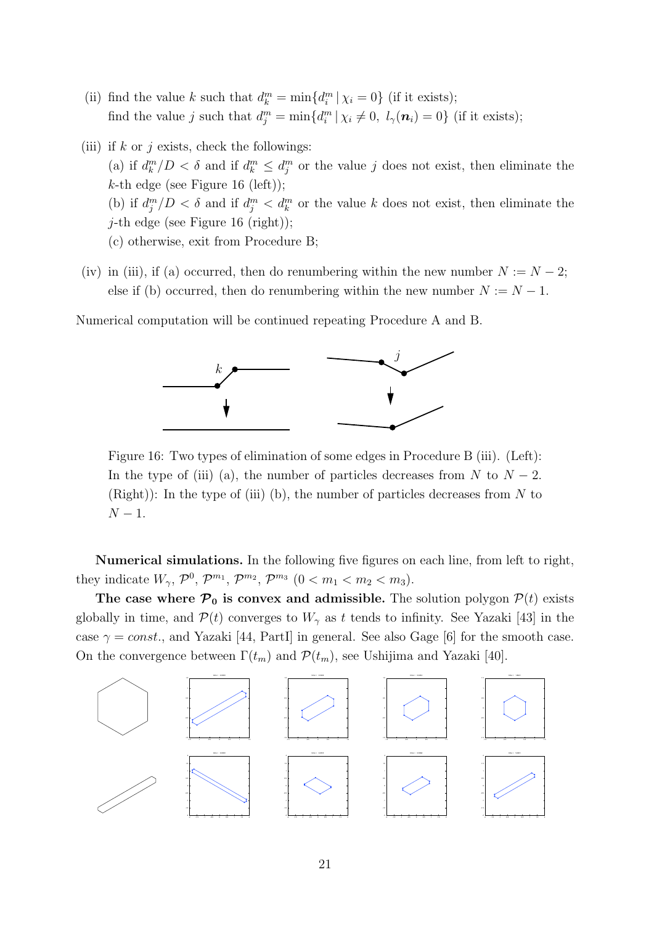- (ii) find the value k such that  $d_k^m = \min\{d_i^m | \chi_i = 0\}$  (if it exists); find the value j such that  $d_j^m = \min\{d_i^m | \chi_i \neq 0, l_\gamma(\mathbf{n}_i) = 0\}$  (if it exists);
- (iii) if k or j exists, check the followings: (a) if  $d_k^m/D < \delta$  and if  $d_k^m \leq d_j^m$  or the value j does not exist, then eliminate the  $k$ -th edge (see Figure 16 (left)); (b) if  $d_j^m/D < \delta$  and if  $d_j^m < d_k^m$  or the value k does not exist, then eliminate the *j*-th edge (see Figure 16 (right)); (c) otherwise, exit from Procedure B;
- (iv) in (iii), if (a) occurred, then do renumbering within the new number  $N := N 2$ ; else if (b) occurred, then do renumbering within the new number  $N := N - 1$ .

Numerical computation will be continued repeating Procedure A and B.



Figure 16: Two types of elimination of some edges in Procedure B (iii). (Left): In the type of (iii) (a), the number of particles decreases from N to  $N-2$ .  $(Right)$ : In the type of (iii) (b), the number of particles decreases from N to  $N-1$ .

Numerical simulations. In the following five figures on each line, from left to right, they indicate  $W_{\gamma}$ ,  $\mathcal{P}^{0}$ ,  $\mathcal{P}^{m_1}$ ,  $\mathcal{P}^{m_2}$ ,  $\mathcal{P}^{m_3}$   $(0 < m_1 < m_2 < m_3)$ .

The case where  $P_0$  is convex and admissible. The solution polygon  $P(t)$  exists globally in time, and  $\mathcal{P}(t)$  converges to  $W_{\gamma}$  as t tends to infinity. See Yazaki [43] in the case  $\gamma = const.$ , and Yazaki [44, PartI] in general. See also Gage [6] for the smooth case. On the convergence between  $\Gamma(t_m)$  and  $\mathcal{P}(t_m)$ , see Ushijima and Yazaki [40].

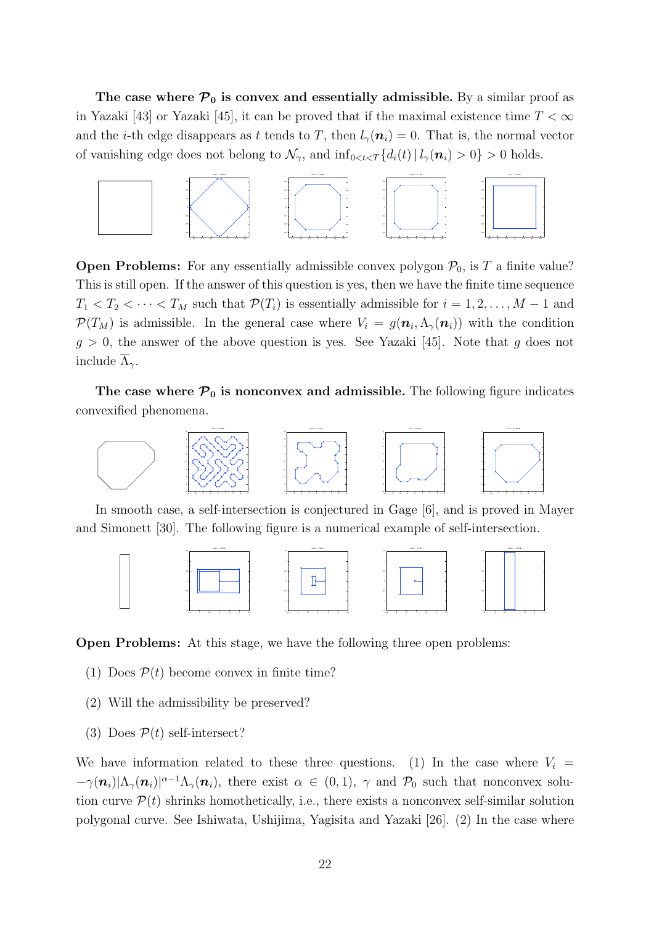The case where  $P_0$  is convex and essentially admissible. By a similar proof as in Yazaki [43] or Yazaki [45], it can be proved that if the maximal existence time  $T < \infty$ and the *i*-th edge disappears as t tends to T, then  $l_{\gamma}(n_i) = 0$ . That is, the normal vector of vanishing edge does not belong to  $\mathcal{N}_{\gamma}$ , and  $\inf_{0 \leq t \leq T} \{d_i(t) | l_{\gamma}(n_i) > 0\} > 0$  holds.



**Open Problems:** For any essentially admissible convex polygon  $\mathcal{P}_0$ , is T a finite value? This is still open. If the answer of this question is yes, then we have the finite time sequence  $T_1 < T_2 < \cdots < T_M$  such that  $\mathcal{P}(T_i)$  is essentially admissible for  $i = 1, 2, \ldots, M - 1$  and  $\mathcal{P}(T_M)$  is admissible. In the general case where  $V_i = g(\mathbf{n}_i, \Lambda_\gamma(\mathbf{n}_i))$  with the condition  $g > 0$ , the answer of the above question is yes. See Yazaki [45]. Note that g does not include  $\overline{\Lambda}_{\gamma}$ .

The case where  $\mathcal{P}_0$  is nonconvex and admissible. The following figure indicates convexified phenomena.



In smooth case, a self-intersection is conjectured in Gage [6], and is proved in Mayer and Simonett [30]. The following figure is a numerical example of self-intersection.



Open Problems: At this stage, we have the following three open problems:

- (1) Does  $P(t)$  become convex in finite time?
- (2) Will the admissibility be preserved?
- (3) Does  $\mathcal{P}(t)$  self-intersect?

We have information related to these three questions. (1) In the case where  $V_i$  $-\gamma(\mathbf{n}_i)|\Lambda_\gamma(\mathbf{n}_i)|^{\alpha-1}\Lambda_\gamma(\mathbf{n}_i)$ , there exist  $\alpha \in (0,1)$ ,  $\gamma$  and  $\mathcal{P}_0$  such that nonconvex solution curve  $\mathcal{P}(t)$  shrinks homothetically, i.e., there exists a nonconvex self-similar solution polygonal curve. See Ishiwata, Ushijima, Yagisita and Yazaki [26]. (2) In the case where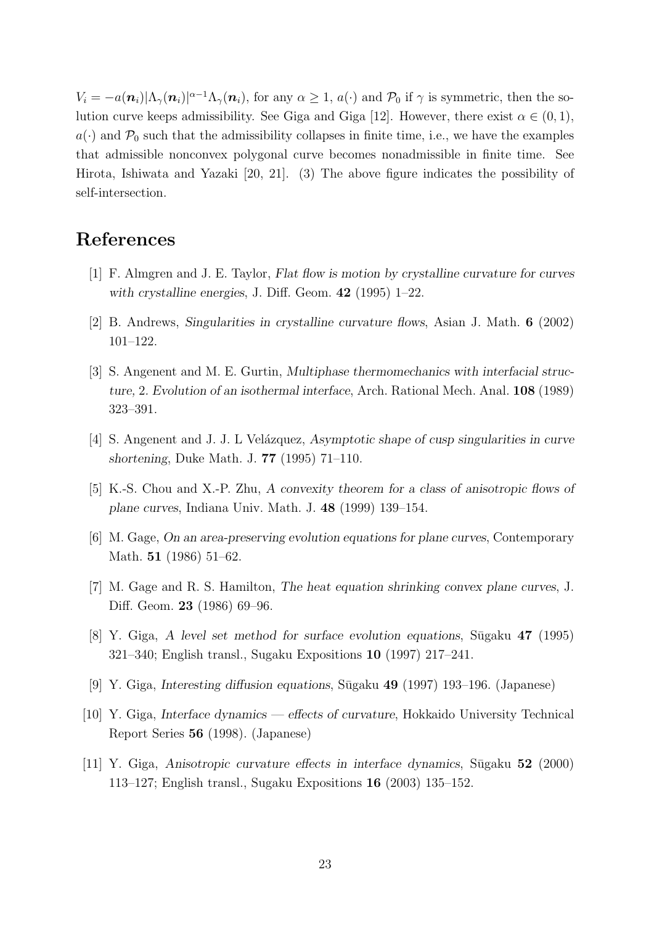$V_i = -a(\mathbf{n}_i)|\Lambda_\gamma(\mathbf{n}_i)|^{\alpha-1}\Lambda_\gamma(\mathbf{n}_i)$ , for any  $\alpha \geq 1$ ,  $a(\cdot)$  and  $\mathcal{P}_0$  if  $\gamma$  is symmetric, then the solution curve keeps admissibility. See Giga and Giga [12]. However, there exist  $\alpha \in (0,1)$ ,  $a(\cdot)$  and  $\mathcal{P}_0$  such that the admissibility collapses in finite time, i.e., we have the examples that admissible nonconvex polygonal curve becomes nonadmissible in finite time. See Hirota, Ishiwata and Yazaki [20, 21]. (3) The above figure indicates the possibility of self-intersection.

# References

- [1] F. Almgren and J. E. Taylor, Flat flow is motion by crystalline curvature for curves with crystalline energies, J. Diff. Geom.  $42$  (1995) 1–22.
- [2] B. Andrews, Singularities in crystalline curvature flows, Asian J. Math. 6 (2002) 101–122.
- [3] S. Angenent and M. E. Gurtin, Multiphase thermomechanics with interfacial structure, 2. Evolution of an isothermal interface, Arch. Rational Mech. Anal. 108 (1989) 323–391.
- [4] S. Angenent and J. J. L Velázquez, Asymptotic shape of cusp singularities in curve shortening, Duke Math. J. 77 (1995) 71–110.
- [5] K.-S. Chou and X.-P. Zhu, A convexity theorem for a class of anisotropic flows of plane curves, Indiana Univ. Math. J. 48 (1999) 139–154.
- [6] M. Gage, On an area-preserving evolution equations for plane curves, Contemporary Math. 51 (1986) 51–62.
- [7] M. Gage and R. S. Hamilton, The heat equation shrinking convex plane curves, J. Diff. Geom. 23 (1986) 69–96.
- [8] Y. Giga, A level set method for surface evolution equations,  $\overline{\text{Sigaku 47}}$  (1995) 321–340; English transl., Sugaku Expositions 10 (1997) 217–241.
- [9] Y. Giga, Interesting diffusion equations, Sūgaku 49 (1997) 193–196. (Japanese)
- [10] Y. Giga, Interface dynamics effects of curvature, Hokkaido University Technical Report Series 56 (1998). (Japanese)
- $[11]$  Y. Giga, Anisotropic curvature effects in interface dynamics, Sūgaku 52 (2000) 113–127; English transl., Sugaku Expositions 16 (2003) 135–152.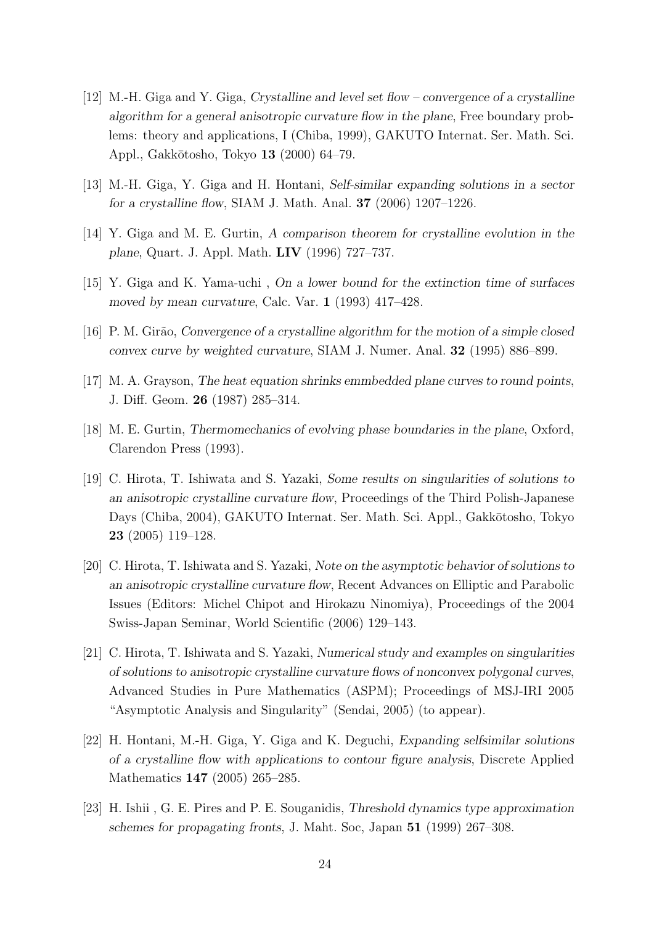- [12] M.-H. Giga and Y. Giga, Crystalline and level set flow convergence of a crystalline algorithm for a general anisotropic curvature flow in the plane, Free boundary problems: theory and applications, I (Chiba, 1999), GAKUTO Internat. Ser. Math. Sci. Appl., Gakkōtosho, Tokyo 13 (2000) 64–79.
- [13] M.-H. Giga, Y. Giga and H. Hontani, Self-similar expanding solutions in a sector for a crystalline flow, SIAM J. Math. Anal. 37 (2006) 1207–1226.
- [14] Y. Giga and M. E. Gurtin, A comparison theorem for crystalline evolution in the plane, Quart. J. Appl. Math. LIV (1996) 727–737.
- [15] Y. Giga and K. Yama-uchi , On a lower bound for the extinction time of surfaces moved by mean curvature, Calc. Var. 1 (1993) 417–428.
- [16] P. M. Gir˜ao, Convergence of a crystalline algorithm for the motion of a simple closed convex curve by weighted curvature, SIAM J. Numer. Anal. 32 (1995) 886–899.
- [17] M. A. Grayson, The heat equation shrinks emmbedded plane curves to round points, J. Diff. Geom. 26 (1987) 285–314.
- [18] M. E. Gurtin, Thermomechanics of evolving phase boundaries in the plane, Oxford, Clarendon Press (1993).
- [19] C. Hirota, T. Ishiwata and S. Yazaki, Some results on singularities of solutions to an anisotropic crystalline curvature flow, Proceedings of the Third Polish-Japanese Days (Chiba, 2004), GAKUTO Internat. Ser. Math. Sci. Appl., Gakkōtosho, Tokyo 23 (2005) 119–128.
- [20] C. Hirota, T. Ishiwata and S. Yazaki, Note on the asymptotic behavior of solutions to an anisotropic crystalline curvature flow, Recent Advances on Elliptic and Parabolic Issues (Editors: Michel Chipot and Hirokazu Ninomiya), Proceedings of the 2004 Swiss-Japan Seminar, World Scientific (2006) 129–143.
- [21] C. Hirota, T. Ishiwata and S. Yazaki, Numerical study and examples on singularities of solutions to anisotropic crystalline curvature flows of nonconvex polygonal curves, Advanced Studies in Pure Mathematics (ASPM); Proceedings of MSJ-IRI 2005 "Asymptotic Analysis and Singularity" (Sendai, 2005) (to appear).
- [22] H. Hontani, M.-H. Giga, Y. Giga and K. Deguchi, Expanding selfsimilar solutions of a crystalline flow with applications to contour figure analysis, Discrete Applied Mathematics **147** (2005) 265–285.
- [23] H. Ishii , G. E. Pires and P. E. Souganidis, Threshold dynamics type approximation schemes for propagating fronts, J. Maht. Soc, Japan 51 (1999) 267–308.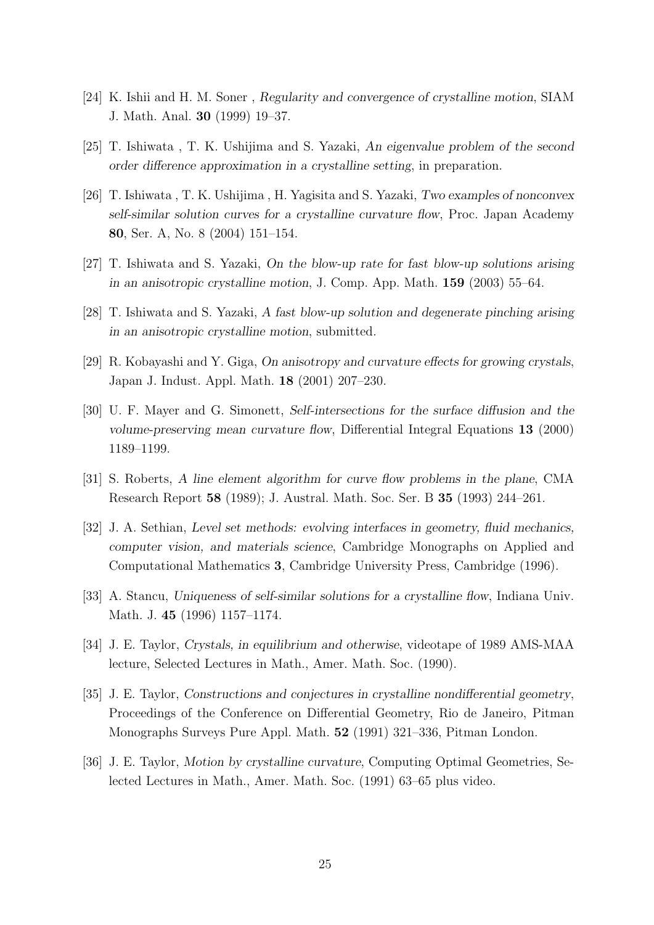- [24] K. Ishii and H. M. Soner , Regularity and convergence of crystalline motion, SIAM J. Math. Anal. 30 (1999) 19–37.
- [25] T. Ishiwata , T. K. Ushijima and S. Yazaki, An eigenvalue problem of the second order difference approximation in a crystalline setting, in preparation.
- [26] T. Ishiwata , T. K. Ushijima , H. Yagisita and S. Yazaki, Two examples of nonconvex self-similar solution curves for a crystalline curvature flow, Proc. Japan Academy 80, Ser. A, No. 8 (2004) 151–154.
- [27] T. Ishiwata and S. Yazaki, On the blow-up rate for fast blow-up solutions arising in an anisotropic crystalline motion, J. Comp. App. Math. 159 (2003) 55–64.
- [28] T. Ishiwata and S. Yazaki, A fast blow-up solution and degenerate pinching arising in an anisotropic crystalline motion, submitted.
- [29] R. Kobayashi and Y. Giga, On anisotropy and curvature effects for growing crystals, Japan J. Indust. Appl. Math. 18 (2001) 207–230.
- [30] U. F. Mayer and G. Simonett, Self-intersections for the surface diffusion and the volume-preserving mean curvature flow, Differential Integral Equations 13 (2000) 1189–1199.
- [31] S. Roberts, A line element algorithm for curve flow problems in the plane, CMA Research Report 58 (1989); J. Austral. Math. Soc. Ser. B 35 (1993) 244–261.
- [32] J. A. Sethian, Level set methods: evolving interfaces in geometry, fluid mechanics, computer vision, and materials science, Cambridge Monographs on Applied and Computational Mathematics 3, Cambridge University Press, Cambridge (1996).
- [33] A. Stancu, Uniqueness of self-similar solutions for a crystalline flow, Indiana Univ. Math. J. 45 (1996) 1157–1174.
- [34] J. E. Taylor, Crystals, in equilibrium and otherwise, videotape of 1989 AMS-MAA lecture, Selected Lectures in Math., Amer. Math. Soc. (1990).
- [35] J. E. Taylor, Constructions and conjectures in crystalline nondifferential geometry, Proceedings of the Conference on Differential Geometry, Rio de Janeiro, Pitman Monographs Surveys Pure Appl. Math. 52 (1991) 321–336, Pitman London.
- [36] J. E. Taylor, Motion by crystalline curvature, Computing Optimal Geometries, Selected Lectures in Math., Amer. Math. Soc. (1991) 63–65 plus video.